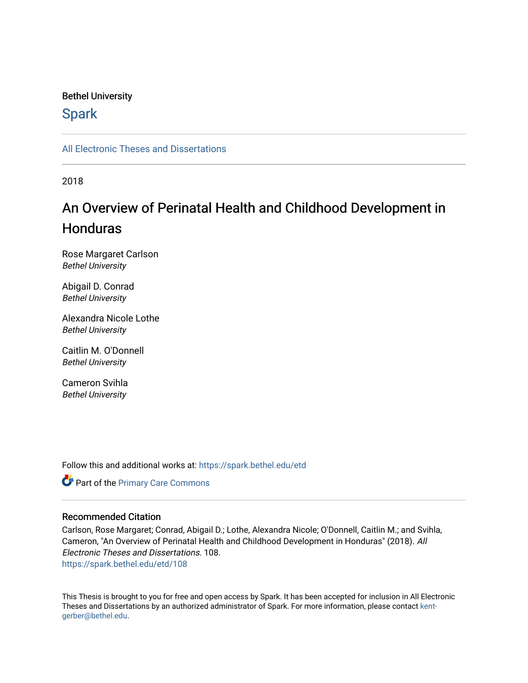# Bethel University

# **Spark**

[All Electronic Theses and Dissertations](https://spark.bethel.edu/etd) 

2018

# An Overview of Perinatal Health and Childhood Development in **Honduras**

Rose Margaret Carlson Bethel University

Abigail D. Conrad Bethel University

Alexandra Nicole Lothe Bethel University

Caitlin M. O'Donnell Bethel University

Cameron Svihla Bethel University

Follow this and additional works at: [https://spark.bethel.edu/etd](https://spark.bethel.edu/etd?utm_source=spark.bethel.edu%2Fetd%2F108&utm_medium=PDF&utm_campaign=PDFCoverPages)

Part of the [Primary Care Commons](http://network.bepress.com/hgg/discipline/1092?utm_source=spark.bethel.edu%2Fetd%2F108&utm_medium=PDF&utm_campaign=PDFCoverPages)

# Recommended Citation

Carlson, Rose Margaret; Conrad, Abigail D.; Lothe, Alexandra Nicole; O'Donnell, Caitlin M.; and Svihla, Cameron, "An Overview of Perinatal Health and Childhood Development in Honduras" (2018). All Electronic Theses and Dissertations. 108. [https://spark.bethel.edu/etd/108](https://spark.bethel.edu/etd/108?utm_source=spark.bethel.edu%2Fetd%2F108&utm_medium=PDF&utm_campaign=PDFCoverPages)

This Thesis is brought to you for free and open access by Spark. It has been accepted for inclusion in All Electronic Theses and Dissertations by an authorized administrator of Spark. For more information, please contact [kent](mailto:kent-gerber@bethel.edu)[gerber@bethel.edu.](mailto:kent-gerber@bethel.edu)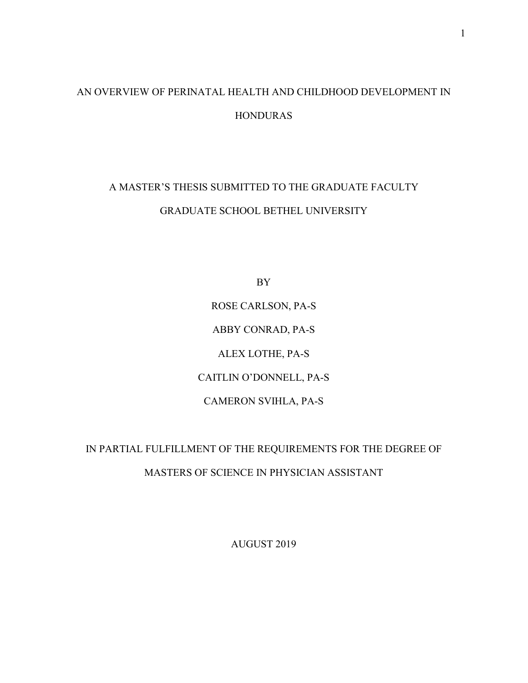# AN OVERVIEW OF PERINATAL HEALTH AND CHILDHOOD DEVELOPMENT IN HONDURAS

# A MASTER'S THESIS SUBMITTED TO THE GRADUATE FACULTY GRADUATE SCHOOL BETHEL UNIVERSITY

BY ROSE CARLSON, PA-S ABBY CONRAD, PA-S ALEX LOTHE, PA-S CAITLIN O'DONNELL, PA-S CAMERON SVIHLA, PA-S

IN PARTIAL FULFILLMENT OF THE REQUIREMENTS FOR THE DEGREE OF MASTERS OF SCIENCE IN PHYSICIAN ASSISTANT

AUGUST 2019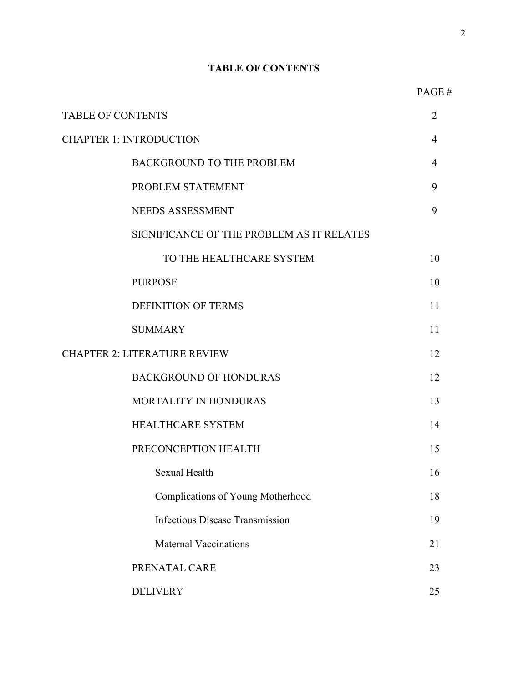# **TABLE OF CONTENTS**

| <b>TABLE OF CONTENTS</b>            |                                           |                |
|-------------------------------------|-------------------------------------------|----------------|
| <b>CHAPTER 1: INTRODUCTION</b>      |                                           |                |
|                                     | <b>BACKGROUND TO THE PROBLEM</b>          | $\overline{4}$ |
|                                     | PROBLEM STATEMENT                         | 9              |
|                                     | NEEDS ASSESSMENT                          | 9              |
|                                     | SIGNIFICANCE OF THE PROBLEM AS IT RELATES |                |
|                                     | TO THE HEALTHCARE SYSTEM                  | 10             |
|                                     | <b>PURPOSE</b>                            | 10             |
|                                     | <b>DEFINITION OF TERMS</b>                | 11             |
|                                     | <b>SUMMARY</b>                            | 11             |
| <b>CHAPTER 2: LITERATURE REVIEW</b> |                                           |                |
|                                     | <b>BACKGROUND OF HONDURAS</b>             | 12             |
|                                     | MORTALITY IN HONDURAS                     | 13             |
|                                     | <b>HEALTHCARE SYSTEM</b>                  | 14             |
|                                     | PRECONCEPTION HEALTH                      | 15             |
|                                     | Sexual Health                             | 16             |
|                                     | <b>Complications of Young Motherhood</b>  | 18             |
|                                     | <b>Infectious Disease Transmission</b>    | 19             |
|                                     | <b>Maternal Vaccinations</b>              | 21             |
|                                     | PRENATAL CARE                             | 23             |
|                                     | <b>DELIVERY</b>                           | 25             |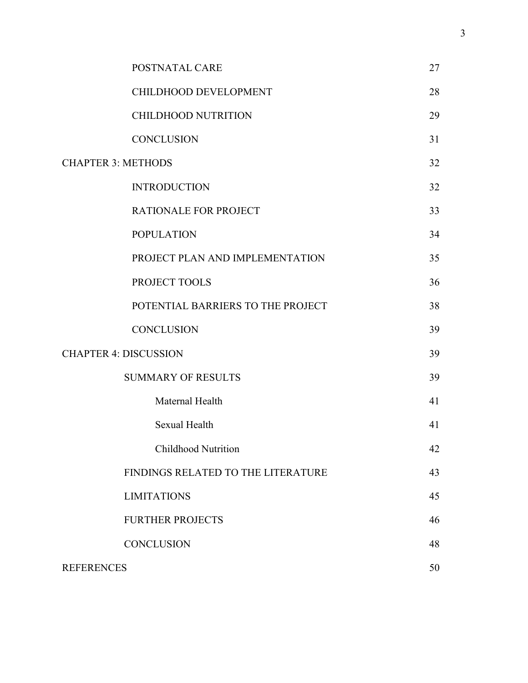|                              | POSTNATAL CARE                     | 27 |
|------------------------------|------------------------------------|----|
|                              | CHILDHOOD DEVELOPMENT              | 28 |
|                              | <b>CHILDHOOD NUTRITION</b>         | 29 |
|                              | <b>CONCLUSION</b>                  | 31 |
| <b>CHAPTER 3: METHODS</b>    |                                    | 32 |
|                              | <b>INTRODUCTION</b>                | 32 |
|                              | RATIONALE FOR PROJECT              | 33 |
|                              | <b>POPULATION</b>                  | 34 |
|                              | PROJECT PLAN AND IMPLEMENTATION    | 35 |
|                              | PROJECT TOOLS                      | 36 |
|                              | POTENTIAL BARRIERS TO THE PROJECT  | 38 |
|                              | <b>CONCLUSION</b>                  | 39 |
| <b>CHAPTER 4: DISCUSSION</b> |                                    | 39 |
|                              | <b>SUMMARY OF RESULTS</b>          | 39 |
|                              | Maternal Health                    | 41 |
|                              | Sexual Health                      | 41 |
|                              | Childhood Nutrition                | 42 |
|                              | FINDINGS RELATED TO THE LITERATURE | 43 |
|                              | <b>LIMITATIONS</b>                 | 45 |
|                              | <b>FURTHER PROJECTS</b>            | 46 |
|                              | <b>CONCLUSION</b>                  | 48 |
| <b>REFERENCES</b>            |                                    | 50 |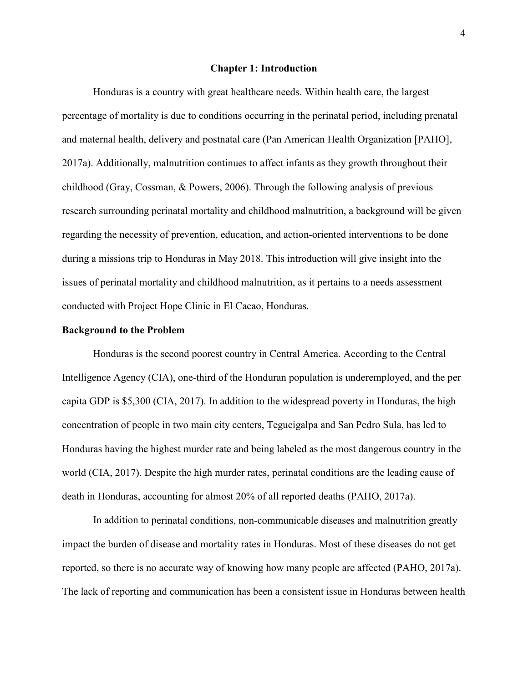#### **Chapter 1: Introduction**

 Honduras is a country with great healthcare needs. Within health care, the largest percentage of mortality is due to conditions occurring in the perinatal period, including prenatal and maternal health, delivery and postnatal care (Pan American Health Organization [PAHO], 2017a). Additionally, malnutrition continues to affect infants as they growth throughout their childhood (Gray, Cossman, & Powers, 2006). Through the following analysis of previous research surrounding perinatal mortality and childhood malnutrition, a background will be given regarding the necessity of prevention, education, and action-oriented interventions to be done during a missions trip to Honduras in May 2018. This introduction will give insight into the issues of perinatal mortality and childhood malnutrition, as it pertains to a needs assessment conducted with Project Hope Clinic in El Cacao, Honduras.

### **Background to the Problem**

Honduras is the second poorest country in Central America. According to the Central Intelligence Agency (CIA), one-third of the Honduran population is underemployed, and the per capita GDP is \$5,300 (CIA, 2017). In addition to the widespread poverty in Honduras, the high concentration of people in two main city centers, Tegucigalpa and San Pedro Sula, has led to Honduras having the highest murder rate and being labeled as the most dangerous country in the world (CIA, 2017). Despite the high murder rates, perinatal conditions are the leading cause of death in Honduras, accounting for almost 20% of all reported deaths (PAHO, 2017a).

In addition to perinatal conditions, non-communicable diseases and malnutrition greatly impact the burden of disease and mortality rates in Honduras. Most of these diseases do not get reported, so there is no accurate way of knowing how many people are affected (PAHO, 2017a). The lack of reporting and communication has been a consistent issue in Honduras between health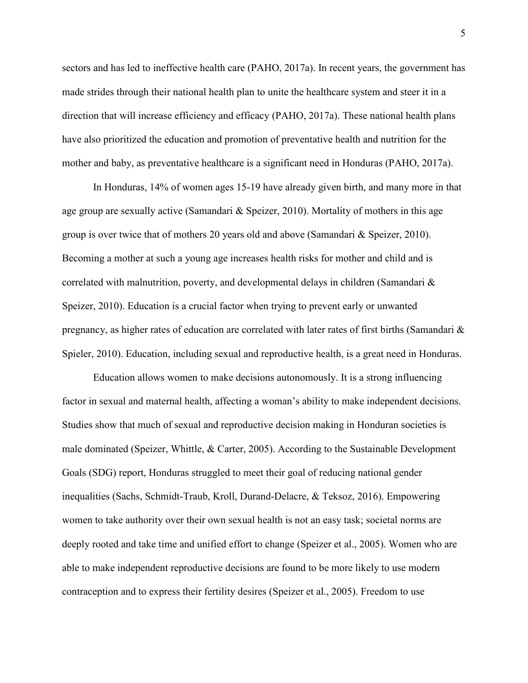sectors and has led to ineffective health care (PAHO, 2017a). In recent years, the government has made strides through their national health plan to unite the healthcare system and steer it in a direction that will increase efficiency and efficacy (PAHO, 2017a). These national health plans have also prioritized the education and promotion of preventative health and nutrition for the mother and baby, as preventative healthcare is a significant need in Honduras (PAHO, 2017a).

In Honduras, 14% of women ages 15-19 have already given birth, and many more in that age group are sexually active (Samandari & Speizer, 2010). Mortality of mothers in this age group is over twice that of mothers 20 years old and above (Samandari & Speizer, 2010). Becoming a mother at such a young age increases health risks for mother and child and is correlated with malnutrition, poverty, and developmental delays in children (Samandari & Speizer, 2010). Education is a crucial factor when trying to prevent early or unwanted pregnancy, as higher rates of education are correlated with later rates of first births (Samandari & Spieler, 2010). Education, including sexual and reproductive health, is a great need in Honduras.

 Education allows women to make decisions autonomously. It is a strong influencing factor in sexual and maternal health, affecting a woman's ability to make independent decisions. Studies show that much of sexual and reproductive decision making in Honduran societies is male dominated (Speizer, Whittle, & Carter, 2005). According to the Sustainable Development Goals (SDG) report, Honduras struggled to meet their goal of reducing national gender inequalities (Sachs, Schmidt-Traub, Kroll, Durand-Delacre, & Teksoz, 2016). Empowering women to take authority over their own sexual health is not an easy task; societal norms are deeply rooted and take time and unified effort to change (Speizer et al., 2005). Women who are able to make independent reproductive decisions are found to be more likely to use modern contraception and to express their fertility desires (Speizer et al., 2005). Freedom to use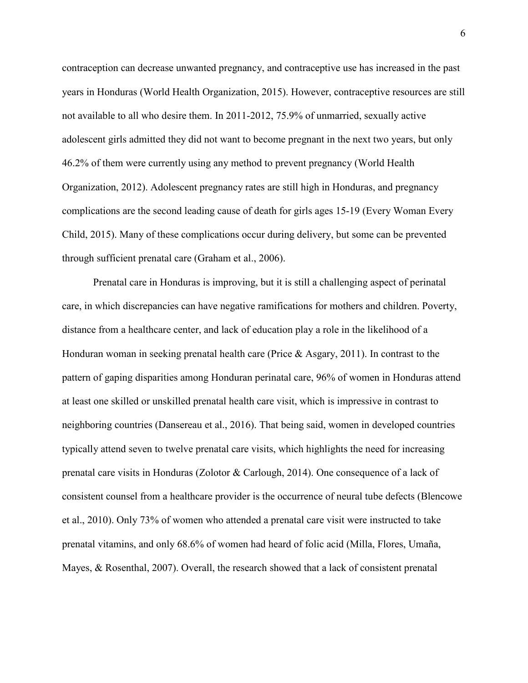contraception can decrease unwanted pregnancy, and contraceptive use has increased in the past years in Honduras (World Health Organization, 2015). However, contraceptive resources are still not available to all who desire them. In 2011-2012, 75.9% of unmarried, sexually active adolescent girls admitted they did not want to become pregnant in the next two years, but only 46.2% of them were currently using any method to prevent pregnancy (World Health Organization, 2012). Adolescent pregnancy rates are still high in Honduras, and pregnancy complications are the second leading cause of death for girls ages 15-19 (Every Woman Every Child, 2015). Many of these complications occur during delivery, but some can be prevented through sufficient prenatal care (Graham et al., 2006).

Prenatal care in Honduras is improving, but it is still a challenging aspect of perinatal care, in which discrepancies can have negative ramifications for mothers and children. Poverty, distance from a healthcare center, and lack of education play a role in the likelihood of a Honduran woman in seeking prenatal health care (Price & Asgary, 2011). In contrast to the pattern of gaping disparities among Honduran perinatal care, 96% of women in Honduras attend at least one skilled or unskilled prenatal health care visit, which is impressive in contrast to neighboring countries (Dansereau et al., 2016). That being said, women in developed countries typically attend seven to twelve prenatal care visits, which highlights the need for increasing prenatal care visits in Honduras (Zolotor & Carlough, 2014). One consequence of a lack of consistent counsel from a healthcare provider is the occurrence of neural tube defects (Blencowe et al., 2010). Only 73% of women who attended a prenatal care visit were instructed to take prenatal vitamins, and only 68.6% of women had heard of folic acid (Milla, Flores, Umaña, Mayes, & Rosenthal, 2007). Overall, the research showed that a lack of consistent prenatal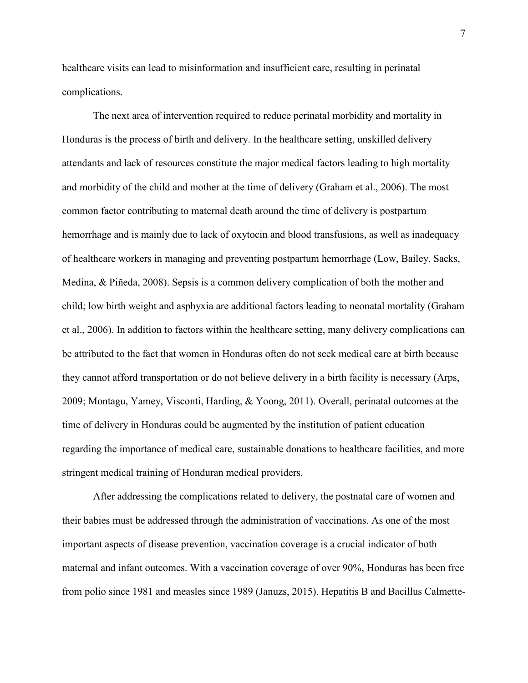healthcare visits can lead to misinformation and insufficient care, resulting in perinatal complications.

The next area of intervention required to reduce perinatal morbidity and mortality in Honduras is the process of birth and delivery. In the healthcare setting, unskilled delivery attendants and lack of resources constitute the major medical factors leading to high mortality and morbidity of the child and mother at the time of delivery (Graham et al., 2006). The most common factor contributing to maternal death around the time of delivery is postpartum hemorrhage and is mainly due to lack of oxytocin and blood transfusions, as well as inadequacy of healthcare workers in managing and preventing postpartum hemorrhage (Low, Bailey, Sacks, Medina, & Piñeda, 2008). Sepsis is a common delivery complication of both the mother and child; low birth weight and asphyxia are additional factors leading to neonatal mortality (Graham et al., 2006). In addition to factors within the healthcare setting, many delivery complications can be attributed to the fact that women in Honduras often do not seek medical care at birth because they cannot afford transportation or do not believe delivery in a birth facility is necessary (Arps, 2009; Montagu, Yamey, Visconti, Harding, & Yoong, 2011). Overall, perinatal outcomes at the time of delivery in Honduras could be augmented by the institution of patient education regarding the importance of medical care, sustainable donations to healthcare facilities, and more stringent medical training of Honduran medical providers.

After addressing the complications related to delivery, the postnatal care of women and their babies must be addressed through the administration of vaccinations. As one of the most important aspects of disease prevention, vaccination coverage is a crucial indicator of both maternal and infant outcomes. With a vaccination coverage of over 90%, Honduras has been free from polio since 1981 and measles since 1989 (Januzs, 2015). Hepatitis B and Bacillus Calmette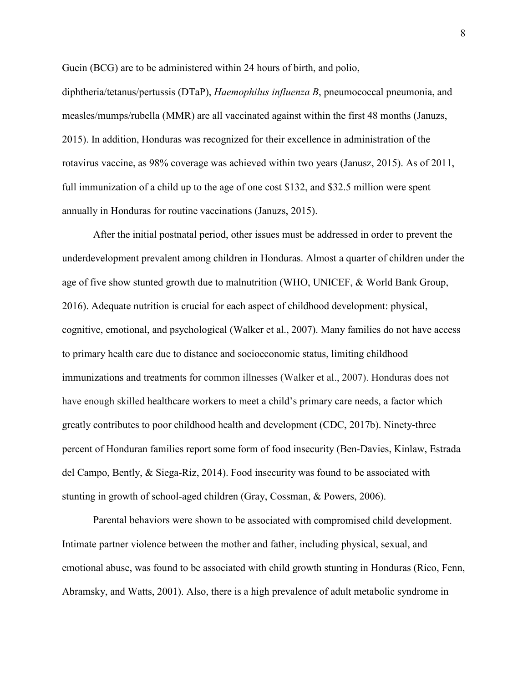Guein (BCG) are to be administered within 24 hours of birth, and polio,

diphtheria/tetanus/pertussis (DTaP), *Haemophilus influenza B*, pneumococcal pneumonia, and measles/mumps/rubella (MMR) are all vaccinated against within the first 48 months (Januzs, 2015). In addition, Honduras was recognized for their excellence in administration of the rotavirus vaccine, as 98% coverage was achieved within two years (Janusz, 2015). As of 2011, full immunization of a child up to the age of one cost \$132, and \$32.5 million were spent annually in Honduras for routine vaccinations (Januzs, 2015).

After the initial postnatal period, other issues must be addressed in order to prevent the underdevelopment prevalent among children in Honduras. Almost a quarter of children under the age of five show stunted growth due to malnutrition (WHO, UNICEF, & World Bank Group, 2016). Adequate nutrition is crucial for each aspect of childhood development: physical, cognitive, emotional, and psychological (Walker et al., 2007). Many families do not have access to primary health care due to distance and socioeconomic status, limiting childhood immunizations and treatments for common illnesses (Walker et al., 2007). Honduras does not have enough skilled healthcare workers to meet a child's primary care needs, a factor which greatly contributes to poor childhood health and development (CDC, 2017b). Ninety-three percent of Honduran families report some form of food insecurity (Ben-Davies, Kinlaw, Estrada del Campo, Bently, & Siega-Riz, 2014). Food insecurity was found to be associated with stunting in growth of school-aged children (Gray, Cossman, & Powers, 2006).

Parental behaviors were shown to be associated with compromised child development. Intimate partner violence between the mother and father, including physical, sexual, and emotional abuse, was found to be associated with child growth stunting in Honduras (Rico, Fenn, Abramsky, and Watts, 2001). Also, there is a high prevalence of adult metabolic syndrome in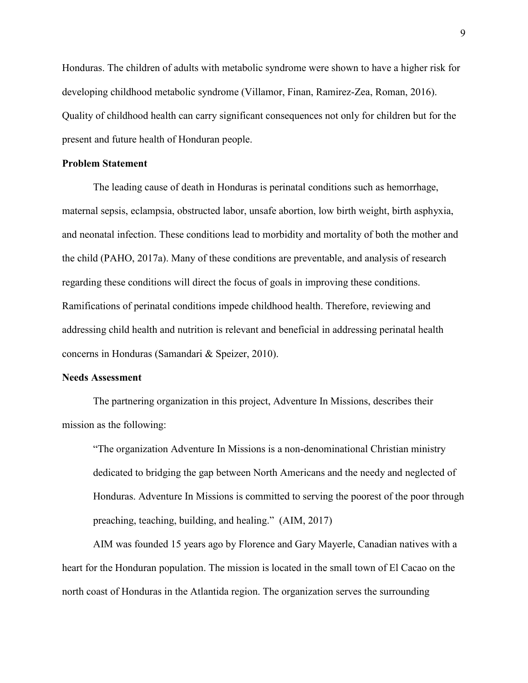Honduras. The children of adults with metabolic syndrome were shown to have a higher risk for developing childhood metabolic syndrome (Villamor, Finan, Ramirez-Zea, Roman, 2016). Quality of childhood health can carry significant consequences not only for children but for the present and future health of Honduran people.

# **Problem Statement**

The leading cause of death in Honduras is perinatal conditions such as hemorrhage, maternal sepsis, eclampsia, obstructed labor, unsafe abortion, low birth weight, birth asphyxia, and neonatal infection. These conditions lead to morbidity and mortality of both the mother and the child (PAHO, 2017a). Many of these conditions are preventable, and analysis of research regarding these conditions will direct the focus of goals in improving these conditions. Ramifications of perinatal conditions impede childhood health. Therefore, reviewing and addressing child health and nutrition is relevant and beneficial in addressing perinatal health concerns in Honduras (Samandari & Speizer, 2010).

# **Needs Assessment**

The partnering organization in this project, Adventure In Missions, describes their mission as the following:

"The organization Adventure In Missions is a non-denominational Christian ministry dedicated to bridging the gap between North Americans and the needy and neglected of Honduras. Adventure In Missions is committed to serving the poorest of the poor through preaching, teaching, building, and healing." (AIM, 2017)

AIM was founded 15 years ago by Florence and Gary Mayerle, Canadian natives with a heart for the Honduran population. The mission is located in the small town of El Cacao on the north coast of Honduras in the Atlantida region. The organization serves the surrounding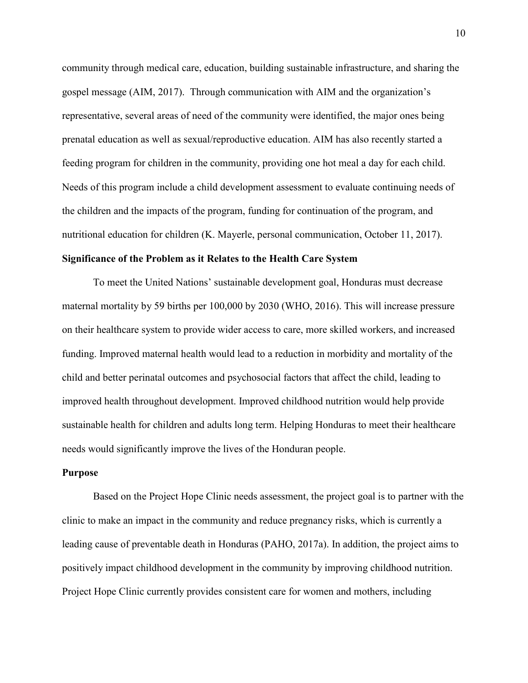community through medical care, education, building sustainable infrastructure, and sharing the gospel message (AIM, 2017). Through communication with AIM and the organization's representative, several areas of need of the community were identified, the major ones being prenatal education as well as sexual/reproductive education. AIM has also recently started a feeding program for children in the community, providing one hot meal a day for each child. Needs of this program include a child development assessment to evaluate continuing needs of the children and the impacts of the program, funding for continuation of the program, and nutritional education for children (K. Mayerle, personal communication, October 11, 2017).

# **Significance of the Problem as it Relates to the Health Care System**

To meet the United Nations' sustainable development goal, Honduras must decrease maternal mortality by 59 births per 100,000 by 2030 (WHO, 2016). This will increase pressure on their healthcare system to provide wider access to care, more skilled workers, and increased funding. Improved maternal health would lead to a reduction in morbidity and mortality of the child and better perinatal outcomes and psychosocial factors that affect the child, leading to improved health throughout development. Improved childhood nutrition would help provide sustainable health for children and adults long term. Helping Honduras to meet their healthcare needs would significantly improve the lives of the Honduran people.

# **Purpose**

Based on the Project Hope Clinic needs assessment, the project goal is to partner with the clinic to make an impact in the community and reduce pregnancy risks, which is currently a leading cause of preventable death in Honduras (PAHO, 2017a). In addition, the project aims to positively impact childhood development in the community by improving childhood nutrition. Project Hope Clinic currently provides consistent care for women and mothers, including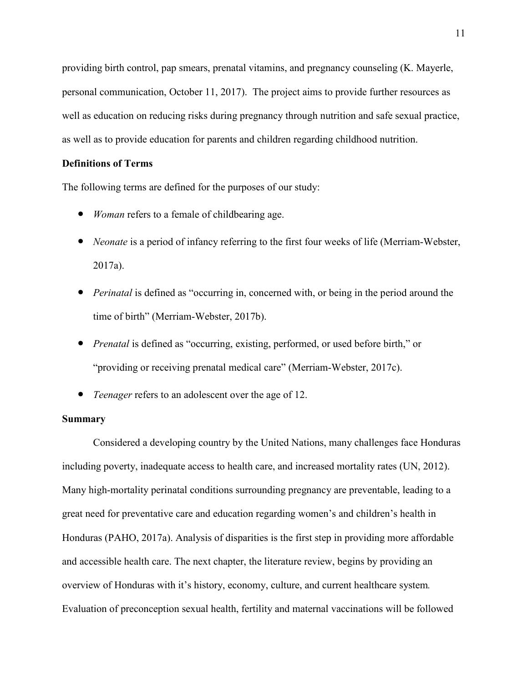providing birth control, pap smears, prenatal vitamins, and pregnancy counseling (K. Mayerle, personal communication, October 11, 2017). The project aims to provide further resources as well as education on reducing risks during pregnancy through nutrition and safe sexual practice, as well as to provide education for parents and children regarding childhood nutrition.

# **Definitions of Terms**

The following terms are defined for the purposes of our study:

- *Woman* refers to a female of childbearing age.
- *Neonate* is a period of infancy referring to the first four weeks of life (Merriam-Webster, 2017a).
- *Perinatal* is defined as "occurring in, concerned with, or being in the period around the time of birth" (Merriam-Webster, 2017b).
- *Prenatal* is defined as "occurring, existing, performed, or used before birth," or "providing or receiving prenatal medical care" (Merriam-Webster, 2017c).
- *Teenager* refers to an adolescent over the age of 12.

# **Summary**

Considered a developing country by the United Nations, many challenges face Honduras including poverty, inadequate access to health care, and increased mortality rates (UN, 2012). Many high-mortality perinatal conditions surrounding pregnancy are preventable, leading to a great need for preventative care and education regarding women's and children's health in Honduras (PAHO, 2017a). Analysis of disparities is the first step in providing more affordable and accessible health care. The next chapter, the literature review, begins by providing an overview of Honduras with it's history, economy, culture, and current healthcare system*.*  Evaluation of preconception sexual health, fertility and maternal vaccinations will be followed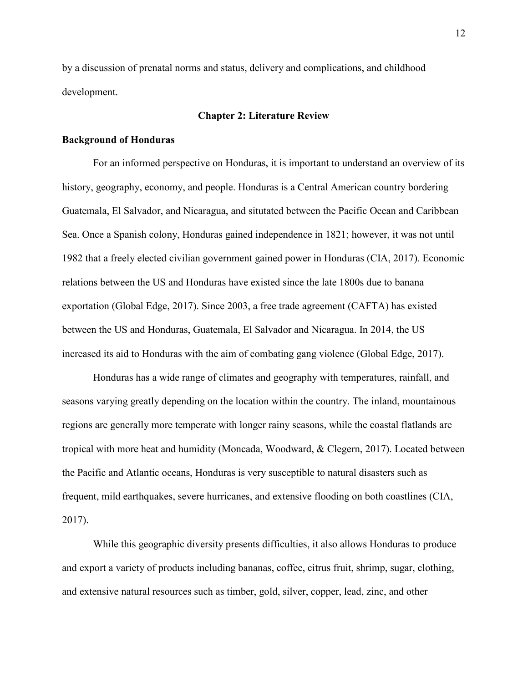by a discussion of prenatal norms and status, delivery and complications, and childhood development.

# **Chapter 2: Literature Review**

#### **Background of Honduras**

For an informed perspective on Honduras, it is important to understand an overview of its history, geography, economy, and people. Honduras is a Central American country bordering Guatemala, El Salvador, and Nicaragua, and situtated between the Pacific Ocean and Caribbean Sea. Once a Spanish colony, Honduras gained independence in 1821; however, it was not until 1982 that a freely elected civilian government gained power in Honduras (CIA, 2017). Economic relations between the US and Honduras have existed since the late 1800s due to banana exportation (Global Edge, 2017). Since 2003, a free trade agreement (CAFTA) has existed between the US and Honduras, Guatemala, El Salvador and Nicaragua. In 2014, the US increased its aid to Honduras with the aim of combating gang violence (Global Edge, 2017).

Honduras has a wide range of climates and geography with temperatures, rainfall, and seasons varying greatly depending on the location within the country. The inland, mountainous regions are generally more temperate with longer rainy seasons, while the coastal flatlands are tropical with more heat and humidity (Moncada, Woodward, & Clegern, 2017). Located between the Pacific and Atlantic oceans, Honduras is very susceptible to natural disasters such as frequent, mild earthquakes, severe hurricanes, and extensive flooding on both coastlines (CIA, 2017).

While this geographic diversity presents difficulties, it also allows Honduras to produce and export a variety of products including bananas, coffee, citrus fruit, shrimp, sugar, clothing, and extensive natural resources such as timber, gold, silver, copper, lead, zinc, and other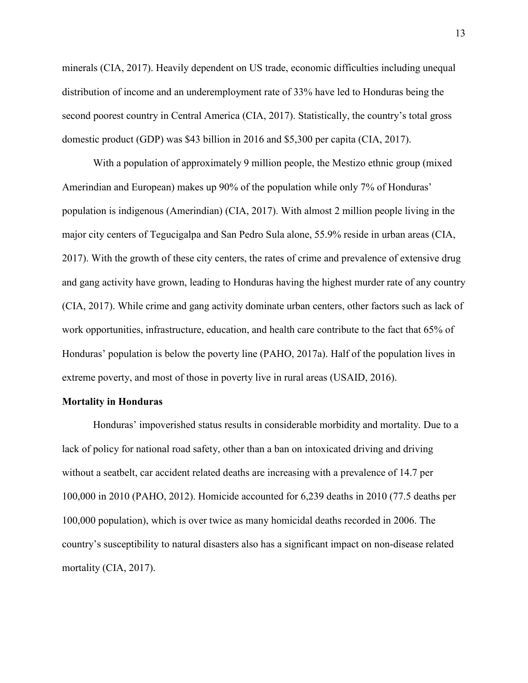minerals (CIA, 2017). Heavily dependent on US trade, economic difficulties including unequal distribution of income and an underemployment rate of 33% have led to Honduras being the second poorest country in Central America (CIA, 2017). Statistically, the country's total gross domestic product (GDP) was \$43 billion in 2016 and \$5,300 per capita (CIA, 2017).

With a population of approximately 9 million people, the Mestizo ethnic group (mixed Amerindian and European) makes up 90% of the population while only 7% of Honduras' population is indigenous (Amerindian) (CIA, 2017). With almost 2 million people living in the major city centers of Tegucigalpa and San Pedro Sula alone, 55.9% reside in urban areas (CIA, 2017). With the growth of these city centers, the rates of crime and prevalence of extensive drug and gang activity have grown, leading to Honduras having the highest murder rate of any country (CIA, 2017). While crime and gang activity dominate urban centers, other factors such as lack of work opportunities, infrastructure, education, and health care contribute to the fact that 65% of Honduras' population is below the poverty line (PAHO, 2017a). Half of the population lives in extreme poverty, and most of those in poverty live in rural areas (USAID, 2016).

#### **Mortality in Honduras**

Honduras' impoverished status results in considerable morbidity and mortality. Due to a lack of policy for national road safety, other than a ban on intoxicated driving and driving without a seatbelt, car accident related deaths are increasing with a prevalence of 14.7 per 100,000 in 2010 (PAHO, 2012). Homicide accounted for 6,239 deaths in 2010 (77.5 deaths per 100,000 population), which is over twice as many homicidal deaths recorded in 2006. The country's susceptibility to natural disasters also has a significant impact on non-disease related mortality (CIA, 2017).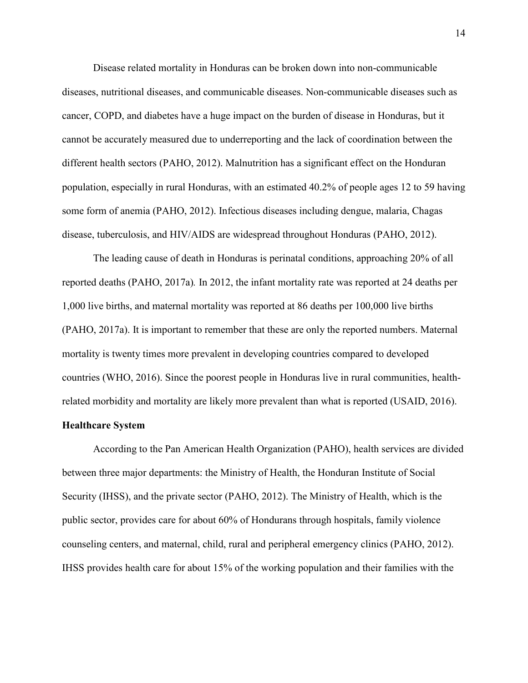Disease related mortality in Honduras can be broken down into non-communicable diseases, nutritional diseases, and communicable diseases. Non-communicable diseases such as cancer, COPD, and diabetes have a huge impact on the burden of disease in Honduras, but it cannot be accurately measured due to underreporting and the lack of coordination between the different health sectors (PAHO, 2012). Malnutrition has a significant effect on the Honduran population, especially in rural Honduras, with an estimated 40.2% of people ages 12 to 59 having some form of anemia (PAHO, 2012). Infectious diseases including dengue, malaria, Chagas disease, tuberculosis, and HIV/AIDS are widespread throughout Honduras (PAHO, 2012).

The leading cause of death in Honduras is perinatal conditions, approaching 20% of all reported deaths (PAHO, 2017a)*.* In 2012, the infant mortality rate was reported at 24 deaths per 1,000 live births, and maternal mortality was reported at 86 deaths per 100,000 live births (PAHO, 2017a). It is important to remember that these are only the reported numbers. Maternal mortality is twenty times more prevalent in developing countries compared to developed countries (WHO, 2016). Since the poorest people in Honduras live in rural communities, healthrelated morbidity and mortality are likely more prevalent than what is reported (USAID, 2016).

#### **Healthcare System**

According to the Pan American Health Organization (PAHO), health services are divided between three major departments: the Ministry of Health, the Honduran Institute of Social Security (IHSS), and the private sector (PAHO, 2012). The Ministry of Health, which is the public sector, provides care for about 60% of Hondurans through hospitals, family violence counseling centers, and maternal, child, rural and peripheral emergency clinics (PAHO, 2012). IHSS provides health care for about 15% of the working population and their families with the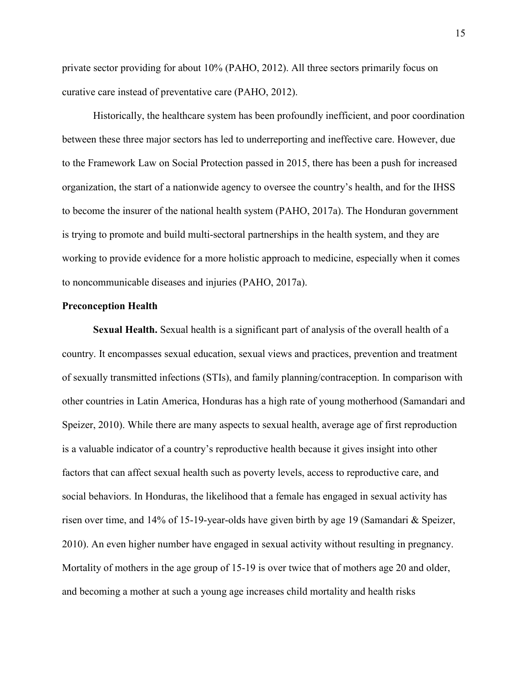private sector providing for about 10% (PAHO, 2012). All three sectors primarily focus on curative care instead of preventative care (PAHO, 2012).

Historically, the healthcare system has been profoundly inefficient, and poor coordination between these three major sectors has led to underreporting and ineffective care. However, due to the Framework Law on Social Protection passed in 2015, there has been a push for increased organization, the start of a nationwide agency to oversee the country's health, and for the IHSS to become the insurer of the national health system (PAHO, 2017a). The Honduran government is trying to promote and build multi-sectoral partnerships in the health system, and they are working to provide evidence for a more holistic approach to medicine, especially when it comes to noncommunicable diseases and injuries (PAHO, 2017a).

#### **Preconception Health**

**Sexual Health.** Sexual health is a significant part of analysis of the overall health of a country. It encompasses sexual education, sexual views and practices, prevention and treatment of sexually transmitted infections (STIs), and family planning/contraception. In comparison with other countries in Latin America, Honduras has a high rate of young motherhood (Samandari and Speizer, 2010). While there are many aspects to sexual health, average age of first reproduction is a valuable indicator of a country's reproductive health because it gives insight into other factors that can affect sexual health such as poverty levels, access to reproductive care, and social behaviors. In Honduras, the likelihood that a female has engaged in sexual activity has risen over time, and 14% of 15-19-year-olds have given birth by age 19 (Samandari & Speizer, 2010). An even higher number have engaged in sexual activity without resulting in pregnancy. Mortality of mothers in the age group of 15-19 is over twice that of mothers age 20 and older, and becoming a mother at such a young age increases child mortality and health risks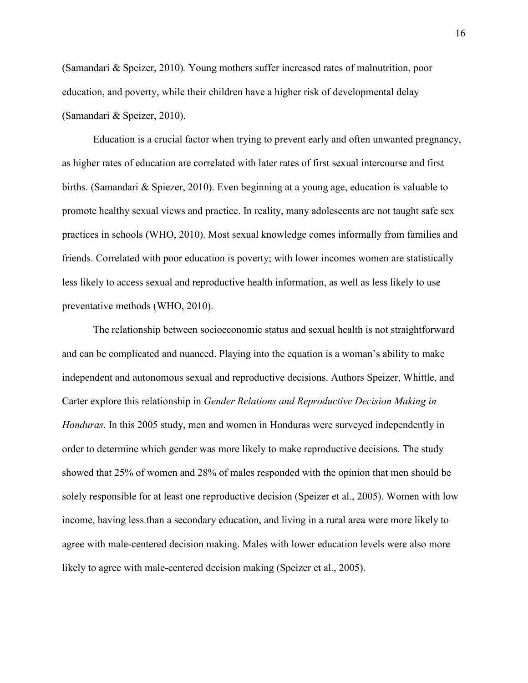(Samandari & Speizer, 2010)*.* Young mothers suffer increased rates of malnutrition, poor education, and poverty, while their children have a higher risk of developmental delay (Samandari & Speizer, 2010).

 Education is a crucial factor when trying to prevent early and often unwanted pregnancy, as higher rates of education are correlated with later rates of first sexual intercourse and first births. (Samandari & Spiezer, 2010). Even beginning at a young age, education is valuable to promote healthy sexual views and practice. In reality, many adolescents are not taught safe sex practices in schools (WHO, 2010). Most sexual knowledge comes informally from families and friends. Correlated with poor education is poverty; with lower incomes women are statistically less likely to access sexual and reproductive health information, as well as less likely to use preventative methods (WHO, 2010).

The relationship between socioeconomic status and sexual health is not straightforward and can be complicated and nuanced. Playing into the equation is a woman's ability to make independent and autonomous sexual and reproductive decisions. Authors Speizer, Whittle, and Carter explore this relationship in *Gender Relations and Reproductive Decision Making in Honduras.* In this 2005 study, men and women in Honduras were surveyed independently in order to determine which gender was more likely to make reproductive decisions. The study showed that 25% of women and 28% of males responded with the opinion that men should be solely responsible for at least one reproductive decision (Speizer et al., 2005). Women with low income, having less than a secondary education, and living in a rural area were more likely to agree with male-centered decision making. Males with lower education levels were also more likely to agree with male-centered decision making (Speizer et al., 2005).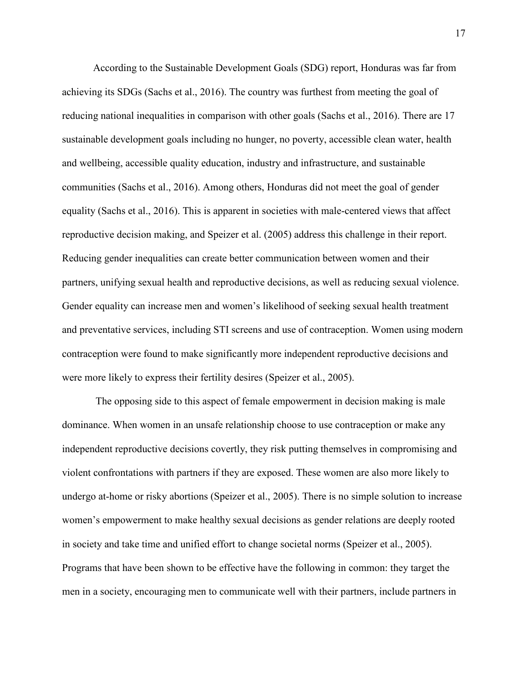According to the Sustainable Development Goals (SDG) report, Honduras was far from achieving its SDGs (Sachs et al., 2016). The country was furthest from meeting the goal of reducing national inequalities in comparison with other goals (Sachs et al., 2016). There are 17 sustainable development goals including no hunger, no poverty, accessible clean water, health and wellbeing, accessible quality education, industry and infrastructure, and sustainable communities (Sachs et al., 2016). Among others, Honduras did not meet the goal of gender equality (Sachs et al., 2016). This is apparent in societies with male-centered views that affect reproductive decision making, and Speizer et al. (2005) address this challenge in their report. Reducing gender inequalities can create better communication between women and their partners, unifying sexual health and reproductive decisions, as well as reducing sexual violence. Gender equality can increase men and women's likelihood of seeking sexual health treatment and preventative services, including STI screens and use of contraception. Women using modern contraception were found to make significantly more independent reproductive decisions and were more likely to express their fertility desires (Speizer et al., 2005).

 The opposing side to this aspect of female empowerment in decision making is male dominance. When women in an unsafe relationship choose to use contraception or make any independent reproductive decisions covertly, they risk putting themselves in compromising and violent confrontations with partners if they are exposed. These women are also more likely to undergo at-home or risky abortions (Speizer et al., 2005). There is no simple solution to increase women's empowerment to make healthy sexual decisions as gender relations are deeply rooted in society and take time and unified effort to change societal norms (Speizer et al., 2005). Programs that have been shown to be effective have the following in common: they target the men in a society, encouraging men to communicate well with their partners, include partners in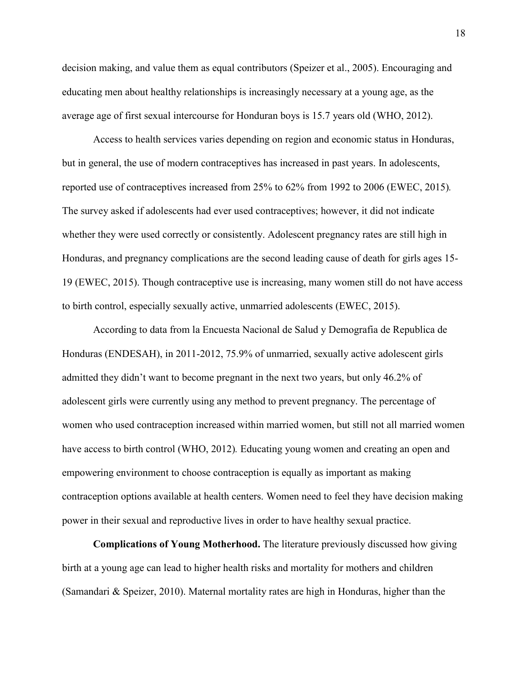decision making, and value them as equal contributors (Speizer et al., 2005). Encouraging and educating men about healthy relationships is increasingly necessary at a young age, as the average age of first sexual intercourse for Honduran boys is 15.7 years old (WHO, 2012).

Access to health services varies depending on region and economic status in Honduras, but in general, the use of modern contraceptives has increased in past years. In adolescents, reported use of contraceptives increased from 25% to 62% from 1992 to 2006 (EWEC, 2015)*.*  The survey asked if adolescents had ever used contraceptives; however, it did not indicate whether they were used correctly or consistently. Adolescent pregnancy rates are still high in Honduras, and pregnancy complications are the second leading cause of death for girls ages 15- 19 (EWEC, 2015). Though contraceptive use is increasing, many women still do not have access to birth control, especially sexually active, unmarried adolescents (EWEC, 2015).

According to data from la Encuesta Nacional de Salud y Demografia de Republica de Honduras (ENDESAH), in 2011-2012, 75.9% of unmarried, sexually active adolescent girls admitted they didn't want to become pregnant in the next two years, but only 46.2% of adolescent girls were currently using any method to prevent pregnancy. The percentage of women who used contraception increased within married women, but still not all married women have access to birth control (WHO, 2012)*.* Educating young women and creating an open and empowering environment to choose contraception is equally as important as making contraception options available at health centers. Women need to feel they have decision making power in their sexual and reproductive lives in order to have healthy sexual practice.

**Complications of Young Motherhood.** The literature previously discussed how giving birth at a young age can lead to higher health risks and mortality for mothers and children (Samandari & Speizer, 2010). Maternal mortality rates are high in Honduras, higher than the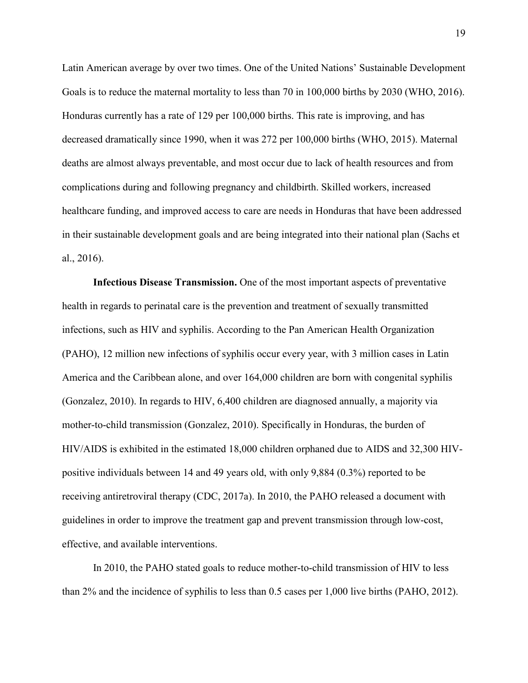Latin American average by over two times. One of the United Nations' Sustainable Development Goals is to reduce the maternal mortality to less than 70 in 100,000 births by 2030 (WHO, 2016). Honduras currently has a rate of 129 per 100,000 births. This rate is improving, and has decreased dramatically since 1990, when it was 272 per 100,000 births (WHO, 2015). Maternal deaths are almost always preventable, and most occur due to lack of health resources and from complications during and following pregnancy and childbirth. Skilled workers, increased healthcare funding, and improved access to care are needs in Honduras that have been addressed in their sustainable development goals and are being integrated into their national plan (Sachs et al., 2016).

**Infectious Disease Transmission.** One of the most important aspects of preventative health in regards to perinatal care is the prevention and treatment of sexually transmitted infections, such as HIV and syphilis. According to the Pan American Health Organization (PAHO), 12 million new infections of syphilis occur every year, with 3 million cases in Latin America and the Caribbean alone, and over 164,000 children are born with congenital syphilis (Gonzalez, 2010). In regards to HIV, 6,400 children are diagnosed annually, a majority via mother-to-child transmission (Gonzalez, 2010). Specifically in Honduras, the burden of HIV/AIDS is exhibited in the estimated 18,000 children orphaned due to AIDS and 32,300 HIVpositive individuals between 14 and 49 years old, with only 9,884 (0.3%) reported to be receiving antiretroviral therapy (CDC, 2017a). In 2010, the PAHO released a document with guidelines in order to improve the treatment gap and prevent transmission through low-cost, effective, and available interventions.

In 2010, the PAHO stated goals to reduce mother-to-child transmission of HIV to less than 2% and the incidence of syphilis to less than 0.5 cases per 1,000 live births (PAHO, 2012).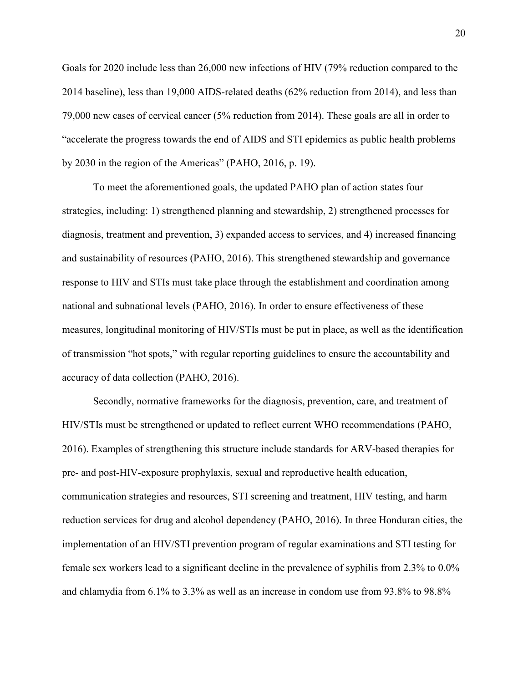Goals for 2020 include less than 26,000 new infections of HIV (79% reduction compared to the 2014 baseline), less than 19,000 AIDS-related deaths (62% reduction from 2014), and less than 79,000 new cases of cervical cancer (5% reduction from 2014). These goals are all in order to "accelerate the progress towards the end of AIDS and STI epidemics as public health problems by 2030 in the region of the Americas" (PAHO, 2016, p. 19).

To meet the aforementioned goals, the updated PAHO plan of action states four strategies, including: 1) strengthened planning and stewardship, 2) strengthened processes for diagnosis, treatment and prevention, 3) expanded access to services, and 4) increased financing and sustainability of resources (PAHO, 2016). This strengthened stewardship and governance response to HIV and STIs must take place through the establishment and coordination among national and subnational levels (PAHO, 2016). In order to ensure effectiveness of these measures, longitudinal monitoring of HIV/STIs must be put in place, as well as the identification of transmission "hot spots," with regular reporting guidelines to ensure the accountability and accuracy of data collection (PAHO, 2016).

 Secondly, normative frameworks for the diagnosis, prevention, care, and treatment of HIV/STIs must be strengthened or updated to reflect current WHO recommendations (PAHO, 2016). Examples of strengthening this structure include standards for ARV-based therapies for pre- and post-HIV-exposure prophylaxis, sexual and reproductive health education, communication strategies and resources, STI screening and treatment, HIV testing, and harm reduction services for drug and alcohol dependency (PAHO, 2016). In three Honduran cities, the implementation of an HIV/STI prevention program of regular examinations and STI testing for female sex workers lead to a significant decline in the prevalence of syphilis from 2.3% to 0.0% and chlamydia from 6.1% to 3.3% as well as an increase in condom use from 93.8% to 98.8%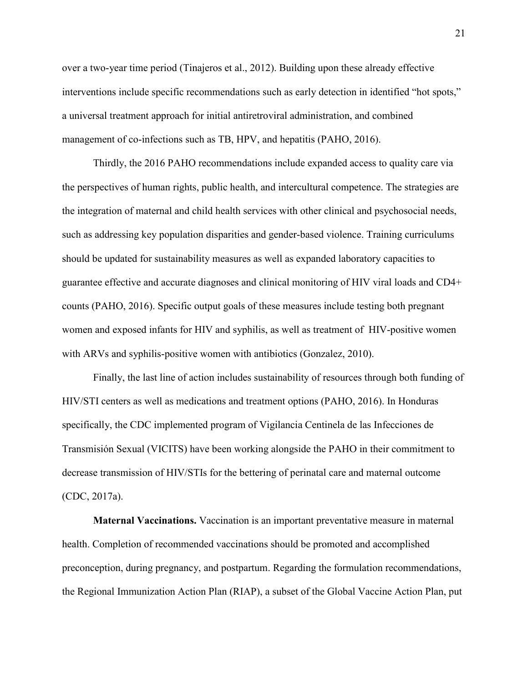over a two-year time period (Tinajeros et al., 2012). Building upon these already effective interventions include specific recommendations such as early detection in identified "hot spots," a universal treatment approach for initial antiretroviral administration, and combined management of co-infections such as TB, HPV, and hepatitis (PAHO, 2016).

 Thirdly, the 2016 PAHO recommendations include expanded access to quality care via the perspectives of human rights, public health, and intercultural competence. The strategies are the integration of maternal and child health services with other clinical and psychosocial needs, such as addressing key population disparities and gender-based violence. Training curriculums should be updated for sustainability measures as well as expanded laboratory capacities to guarantee effective and accurate diagnoses and clinical monitoring of HIV viral loads and CD4+ counts (PAHO, 2016). Specific output goals of these measures include testing both pregnant women and exposed infants for HIV and syphilis, as well as treatment of HIV-positive women with ARVs and syphilis-positive women with antibiotics (Gonzalez, 2010).

Finally, the last line of action includes sustainability of resources through both funding of HIV/STI centers as well as medications and treatment options (PAHO, 2016). In Honduras specifically, the CDC implemented program of Vigilancia Centinela de las Infecciones de Transmisión Sexual (VICITS) have been working alongside the PAHO in their commitment to decrease transmission of HIV/STIs for the bettering of perinatal care and maternal outcome (CDC, 2017a).

**Maternal Vaccinations.** Vaccination is an important preventative measure in maternal health. Completion of recommended vaccinations should be promoted and accomplished preconception, during pregnancy, and postpartum. Regarding the formulation recommendations, the Regional Immunization Action Plan (RIAP), a subset of the Global Vaccine Action Plan, put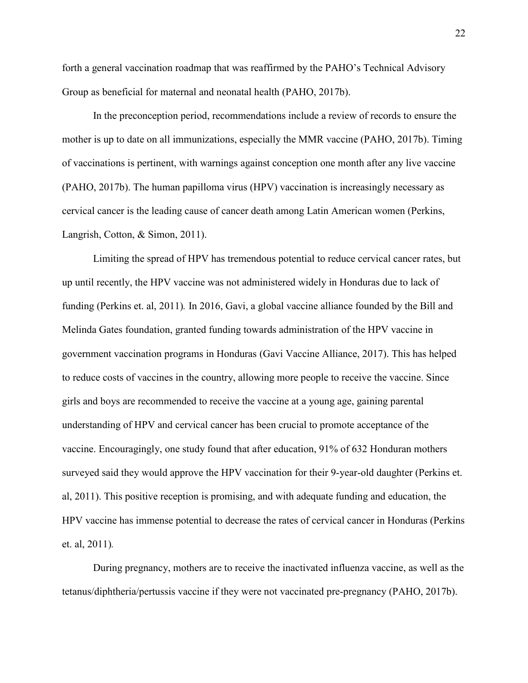forth a general vaccination roadmap that was reaffirmed by the PAHO's Technical Advisory Group as beneficial for maternal and neonatal health (PAHO, 2017b).

In the preconception period, recommendations include a review of records to ensure the mother is up to date on all immunizations, especially the MMR vaccine (PAHO, 2017b). Timing of vaccinations is pertinent, with warnings against conception one month after any live vaccine (PAHO, 2017b). The human papilloma virus (HPV) vaccination is increasingly necessary as cervical cancer is the leading cause of cancer death among Latin American women (Perkins, Langrish, Cotton, & Simon, 2011).

Limiting the spread of HPV has tremendous potential to reduce cervical cancer rates, but up until recently, the HPV vaccine was not administered widely in Honduras due to lack of funding (Perkins et. al, 2011)*.* In 2016, Gavi, a global vaccine alliance founded by the Bill and Melinda Gates foundation, granted funding towards administration of the HPV vaccine in government vaccination programs in Honduras (Gavi Vaccine Alliance, 2017). This has helped to reduce costs of vaccines in the country, allowing more people to receive the vaccine. Since girls and boys are recommended to receive the vaccine at a young age, gaining parental understanding of HPV and cervical cancer has been crucial to promote acceptance of the vaccine. Encouragingly, one study found that after education, 91% of 632 Honduran mothers surveyed said they would approve the HPV vaccination for their 9-year-old daughter (Perkins et. al, 2011). This positive reception is promising, and with adequate funding and education, the HPV vaccine has immense potential to decrease the rates of cervical cancer in Honduras (Perkins et. al, 2011)*.* 

During pregnancy, mothers are to receive the inactivated influenza vaccine, as well as the tetanus/diphtheria/pertussis vaccine if they were not vaccinated pre-pregnancy (PAHO, 2017b).

22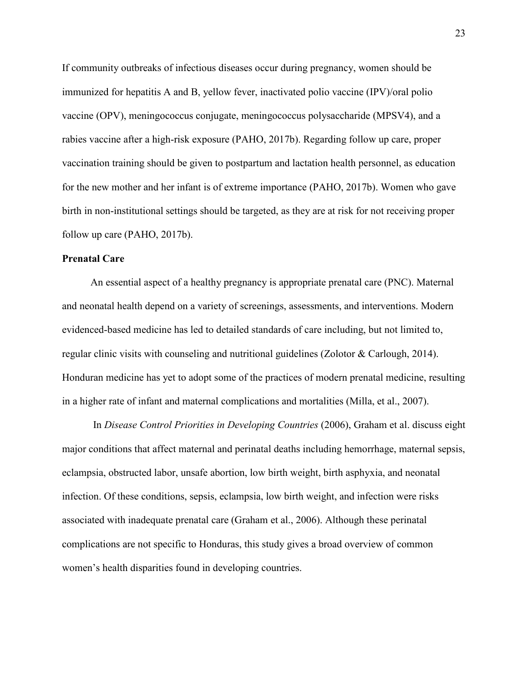If community outbreaks of infectious diseases occur during pregnancy, women should be immunized for hepatitis A and B, yellow fever, inactivated polio vaccine (IPV)/oral polio vaccine (OPV), meningococcus conjugate, meningococcus polysaccharide (MPSV4), and a rabies vaccine after a high-risk exposure (PAHO, 2017b). Regarding follow up care, proper vaccination training should be given to postpartum and lactation health personnel, as education for the new mother and her infant is of extreme importance (PAHO, 2017b). Women who gave birth in non-institutional settings should be targeted, as they are at risk for not receiving proper follow up care (PAHO, 2017b).

# **Prenatal Care**

An essential aspect of a healthy pregnancy is appropriate prenatal care (PNC). Maternal and neonatal health depend on a variety of screenings, assessments, and interventions. Modern evidenced-based medicine has led to detailed standards of care including, but not limited to, regular clinic visits with counseling and nutritional guidelines (Zolotor & Carlough, 2014). Honduran medicine has yet to adopt some of the practices of modern prenatal medicine, resulting in a higher rate of infant and maternal complications and mortalities (Milla, et al., 2007).

In *Disease Control Priorities in Developing Countries* (2006), Graham et al. discuss eight major conditions that affect maternal and perinatal deaths including hemorrhage, maternal sepsis, eclampsia, obstructed labor, unsafe abortion, low birth weight, birth asphyxia, and neonatal infection. Of these conditions, sepsis, eclampsia, low birth weight, and infection were risks associated with inadequate prenatal care (Graham et al., 2006). Although these perinatal complications are not specific to Honduras, this study gives a broad overview of common women's health disparities found in developing countries.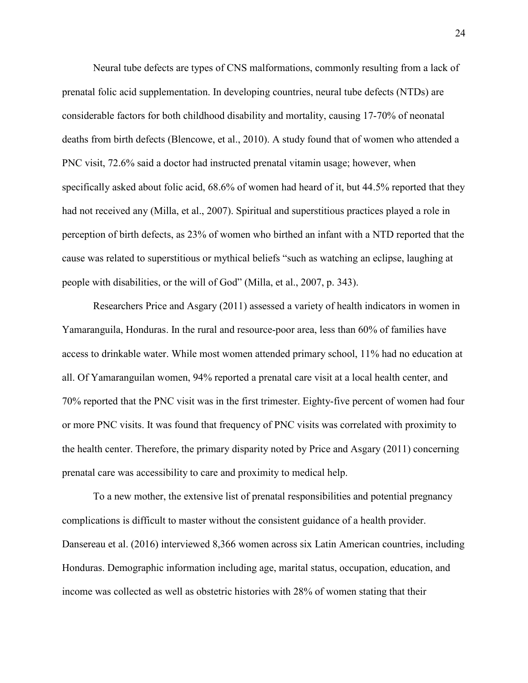Neural tube defects are types of CNS malformations, commonly resulting from a lack of prenatal folic acid supplementation. In developing countries, neural tube defects (NTDs) are considerable factors for both childhood disability and mortality, causing 17-70% of neonatal deaths from birth defects (Blencowe, et al., 2010). A study found that of women who attended a PNC visit, 72.6% said a doctor had instructed prenatal vitamin usage; however, when specifically asked about folic acid, 68.6% of women had heard of it, but 44.5% reported that they had not received any (Milla, et al., 2007). Spiritual and superstitious practices played a role in perception of birth defects, as 23% of women who birthed an infant with a NTD reported that the cause was related to superstitious or mythical beliefs "such as watching an eclipse, laughing at people with disabilities, or the will of God" (Milla, et al., 2007, p. 343).

Researchers Price and Asgary (2011) assessed a variety of health indicators in women in Yamaranguila, Honduras. In the rural and resource-poor area, less than 60% of families have access to drinkable water. While most women attended primary school, 11% had no education at all. Of Yamaranguilan women, 94% reported a prenatal care visit at a local health center, and 70% reported that the PNC visit was in the first trimester. Eighty-five percent of women had four or more PNC visits. It was found that frequency of PNC visits was correlated with proximity to the health center. Therefore, the primary disparity noted by Price and Asgary (2011) concerning prenatal care was accessibility to care and proximity to medical help.

To a new mother, the extensive list of prenatal responsibilities and potential pregnancy complications is difficult to master without the consistent guidance of a health provider. Dansereau et al. (2016) interviewed 8,366 women across six Latin American countries, including Honduras. Demographic information including age, marital status, occupation, education, and income was collected as well as obstetric histories with 28% of women stating that their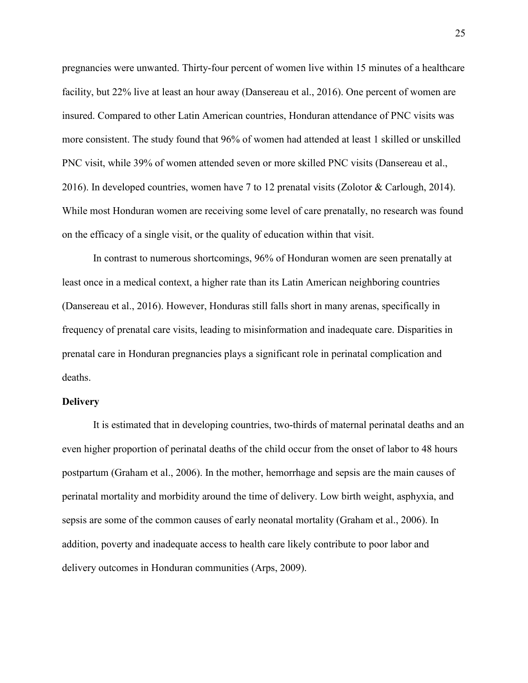pregnancies were unwanted. Thirty-four percent of women live within 15 minutes of a healthcare facility, but 22% live at least an hour away (Dansereau et al., 2016). One percent of women are insured. Compared to other Latin American countries, Honduran attendance of PNC visits was more consistent. The study found that 96% of women had attended at least 1 skilled or unskilled PNC visit, while 39% of women attended seven or more skilled PNC visits (Dansereau et al., 2016). In developed countries, women have 7 to 12 prenatal visits (Zolotor & Carlough, 2014). While most Honduran women are receiving some level of care prenatally, no research was found on the efficacy of a single visit, or the quality of education within that visit.

In contrast to numerous shortcomings, 96% of Honduran women are seen prenatally at least once in a medical context, a higher rate than its Latin American neighboring countries (Dansereau et al., 2016). However, Honduras still falls short in many arenas, specifically in frequency of prenatal care visits, leading to misinformation and inadequate care. Disparities in prenatal care in Honduran pregnancies plays a significant role in perinatal complication and deaths.

#### **Delivery**

It is estimated that in developing countries, two-thirds of maternal perinatal deaths and an even higher proportion of perinatal deaths of the child occur from the onset of labor to 48 hours postpartum (Graham et al., 2006). In the mother, hemorrhage and sepsis are the main causes of perinatal mortality and morbidity around the time of delivery. Low birth weight, asphyxia, and sepsis are some of the common causes of early neonatal mortality (Graham et al., 2006). In addition, poverty and inadequate access to health care likely contribute to poor labor and delivery outcomes in Honduran communities (Arps, 2009).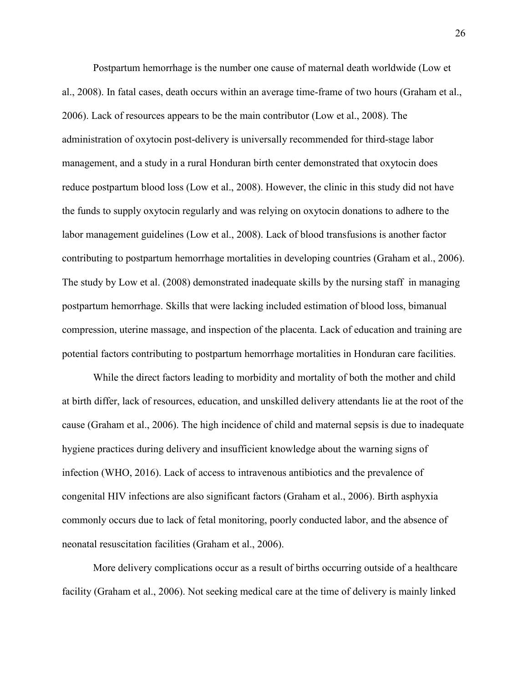Postpartum hemorrhage is the number one cause of maternal death worldwide (Low et al., 2008). In fatal cases, death occurs within an average time-frame of two hours (Graham et al., 2006). Lack of resources appears to be the main contributor (Low et al., 2008). The administration of oxytocin post-delivery is universally recommended for third-stage labor management, and a study in a rural Honduran birth center demonstrated that oxytocin does reduce postpartum blood loss (Low et al., 2008). However, the clinic in this study did not have the funds to supply oxytocin regularly and was relying on oxytocin donations to adhere to the labor management guidelines (Low et al., 2008). Lack of blood transfusions is another factor contributing to postpartum hemorrhage mortalities in developing countries (Graham et al., 2006). The study by Low et al. (2008) demonstrated inadequate skills by the nursing staff in managing postpartum hemorrhage. Skills that were lacking included estimation of blood loss, bimanual compression, uterine massage, and inspection of the placenta. Lack of education and training are potential factors contributing to postpartum hemorrhage mortalities in Honduran care facilities.

 While the direct factors leading to morbidity and mortality of both the mother and child at birth differ, lack of resources, education, and unskilled delivery attendants lie at the root of the cause (Graham et al., 2006). The high incidence of child and maternal sepsis is due to inadequate hygiene practices during delivery and insufficient knowledge about the warning signs of infection (WHO, 2016). Lack of access to intravenous antibiotics and the prevalence of congenital HIV infections are also significant factors (Graham et al., 2006). Birth asphyxia commonly occurs due to lack of fetal monitoring, poorly conducted labor, and the absence of neonatal resuscitation facilities (Graham et al., 2006).

 More delivery complications occur as a result of births occurring outside of a healthcare facility (Graham et al., 2006). Not seeking medical care at the time of delivery is mainly linked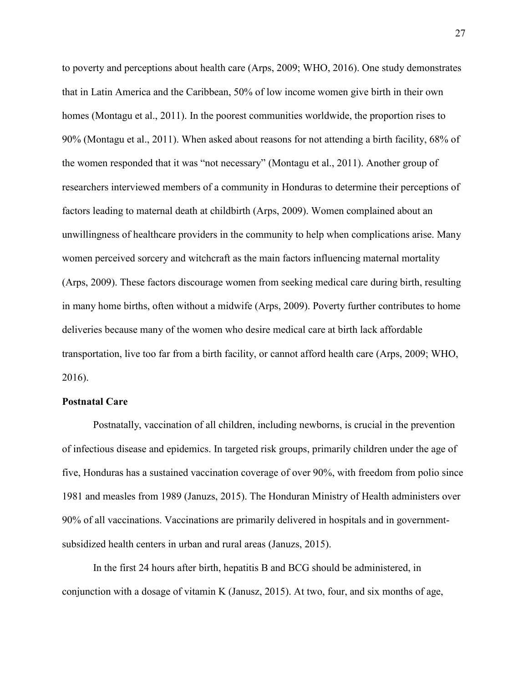to poverty and perceptions about health care (Arps, 2009; WHO, 2016). One study demonstrates that in Latin America and the Caribbean, 50% of low income women give birth in their own homes (Montagu et al., 2011). In the poorest communities worldwide, the proportion rises to 90% (Montagu et al., 2011). When asked about reasons for not attending a birth facility, 68% of the women responded that it was "not necessary" (Montagu et al., 2011). Another group of researchers interviewed members of a community in Honduras to determine their perceptions of factors leading to maternal death at childbirth (Arps, 2009). Women complained about an unwillingness of healthcare providers in the community to help when complications arise. Many women perceived sorcery and witchcraft as the main factors influencing maternal mortality (Arps, 2009). These factors discourage women from seeking medical care during birth, resulting in many home births, often without a midwife (Arps, 2009). Poverty further contributes to home deliveries because many of the women who desire medical care at birth lack affordable transportation, live too far from a birth facility, or cannot afford health care (Arps, 2009; WHO, 2016).

# **Postnatal Care**

Postnatally, vaccination of all children, including newborns, is crucial in the prevention of infectious disease and epidemics. In targeted risk groups, primarily children under the age of five, Honduras has a sustained vaccination coverage of over 90%, with freedom from polio since 1981 and measles from 1989 (Januzs, 2015). The Honduran Ministry of Health administers over 90% of all vaccinations. Vaccinations are primarily delivered in hospitals and in governmentsubsidized health centers in urban and rural areas (Januzs, 2015).

In the first 24 hours after birth, hepatitis B and BCG should be administered, in conjunction with a dosage of vitamin K (Janusz, 2015). At two, four, and six months of age,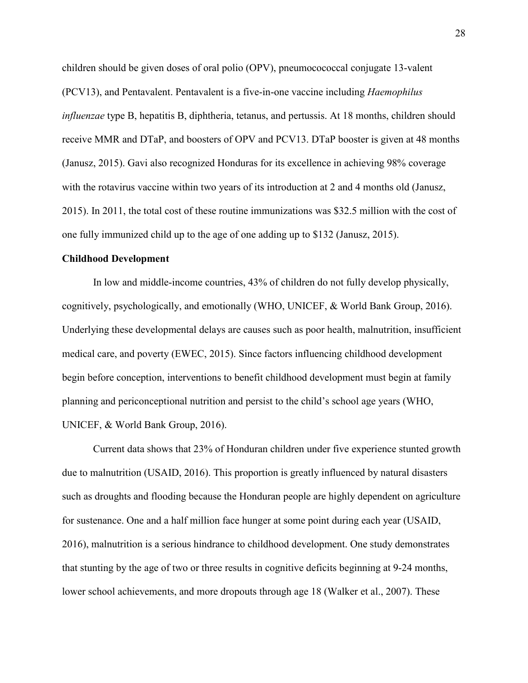children should be given doses of oral polio (OPV), pneumocococcal conjugate 13-valent (PCV13), and Pentavalent. Pentavalent is a five-in-one vaccine including *Haemophilus influenzae* type B, hepatitis B, diphtheria, tetanus, and pertussis. At 18 months, children should receive MMR and DTaP, and boosters of OPV and PCV13. DTaP booster is given at 48 months (Janusz, 2015). Gavi also recognized Honduras for its excellence in achieving 98% coverage with the rotavirus vaccine within two years of its introduction at 2 and 4 months old (Janusz, 2015). In 2011, the total cost of these routine immunizations was \$32.5 million with the cost of one fully immunized child up to the age of one adding up to \$132 (Janusz, 2015).

#### **Childhood Development**

In low and middle-income countries, 43% of children do not fully develop physically, cognitively, psychologically, and emotionally (WHO, UNICEF, & World Bank Group, 2016). Underlying these developmental delays are causes such as poor health, malnutrition, insufficient medical care, and poverty (EWEC, 2015). Since factors influencing childhood development begin before conception, interventions to benefit childhood development must begin at family planning and periconceptional nutrition and persist to the child's school age years (WHO, UNICEF, & World Bank Group, 2016).

 Current data shows that 23% of Honduran children under five experience stunted growth due to malnutrition (USAID, 2016). This proportion is greatly influenced by natural disasters such as droughts and flooding because the Honduran people are highly dependent on agriculture for sustenance. One and a half million face hunger at some point during each year (USAID, 2016), malnutrition is a serious hindrance to childhood development. One study demonstrates that stunting by the age of two or three results in cognitive deficits beginning at 9-24 months, lower school achievements, and more dropouts through age 18 (Walker et al., 2007). These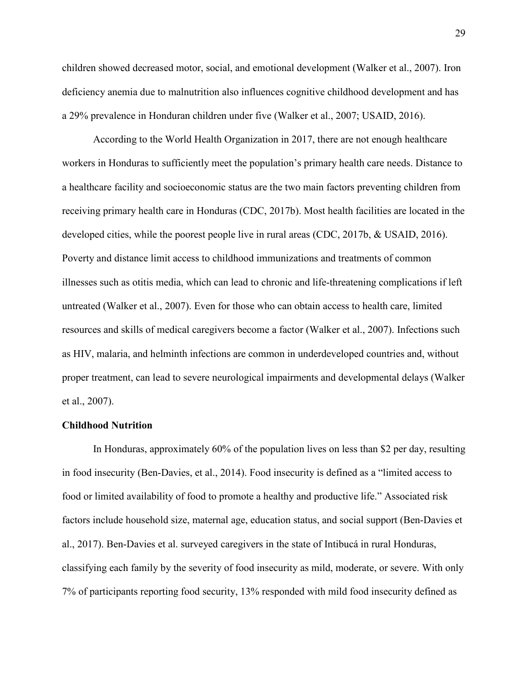children showed decreased motor, social, and emotional development (Walker et al., 2007). Iron deficiency anemia due to malnutrition also influences cognitive childhood development and has a 29% prevalence in Honduran children under five (Walker et al., 2007; USAID, 2016).

According to the World Health Organization in 2017, there are not enough healthcare workers in Honduras to sufficiently meet the population's primary health care needs. Distance to a healthcare facility and socioeconomic status are the two main factors preventing children from receiving primary health care in Honduras (CDC, 2017b). Most health facilities are located in the developed cities, while the poorest people live in rural areas (CDC, 2017b, & USAID, 2016). Poverty and distance limit access to childhood immunizations and treatments of common illnesses such as otitis media, which can lead to chronic and life-threatening complications if left untreated (Walker et al., 2007). Even for those who can obtain access to health care, limited resources and skills of medical caregivers become a factor (Walker et al., 2007). Infections such as HIV, malaria, and helminth infections are common in underdeveloped countries and, without proper treatment, can lead to severe neurological impairments and developmental delays (Walker et al., 2007).

#### **Childhood Nutrition**

In Honduras, approximately 60% of the population lives on less than \$2 per day, resulting in food insecurity (Ben-Davies, et al., 2014). Food insecurity is defined as a "limited access to food or limited availability of food to promote a healthy and productive life." Associated risk factors include household size, maternal age, education status, and social support (Ben-Davies et al., 2017). Ben-Davies et al. surveyed caregivers in the state of Intibucá in rural Honduras, classifying each family by the severity of food insecurity as mild, moderate, or severe. With only 7% of participants reporting food security, 13% responded with mild food insecurity defined as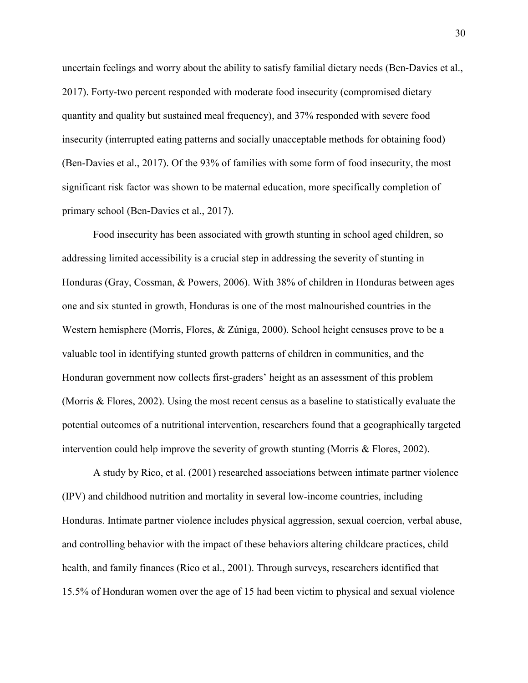uncertain feelings and worry about the ability to satisfy familial dietary needs (Ben-Davies et al., 2017). Forty-two percent responded with moderate food insecurity (compromised dietary quantity and quality but sustained meal frequency), and 37% responded with severe food insecurity (interrupted eating patterns and socially unacceptable methods for obtaining food) (Ben-Davies et al., 2017). Of the 93% of families with some form of food insecurity, the most significant risk factor was shown to be maternal education, more specifically completion of primary school (Ben-Davies et al., 2017).

Food insecurity has been associated with growth stunting in school aged children, so addressing limited accessibility is a crucial step in addressing the severity of stunting in Honduras (Gray, Cossman, & Powers, 2006). With 38% of children in Honduras between ages one and six stunted in growth, Honduras is one of the most malnourished countries in the Western hemisphere (Morris, Flores, & Zúniga, 2000). School height censuses prove to be a valuable tool in identifying stunted growth patterns of children in communities, and the Honduran government now collects first-graders' height as an assessment of this problem (Morris & Flores, 2002). Using the most recent census as a baseline to statistically evaluate the potential outcomes of a nutritional intervention, researchers found that a geographically targeted intervention could help improve the severity of growth stunting (Morris & Flores, 2002).

 A study by Rico, et al. (2001) researched associations between intimate partner violence (IPV) and childhood nutrition and mortality in several low-income countries, including Honduras. Intimate partner violence includes physical aggression, sexual coercion, verbal abuse, and controlling behavior with the impact of these behaviors altering childcare practices, child health, and family finances (Rico et al., 2001). Through surveys, researchers identified that 15.5% of Honduran women over the age of 15 had been victim to physical and sexual violence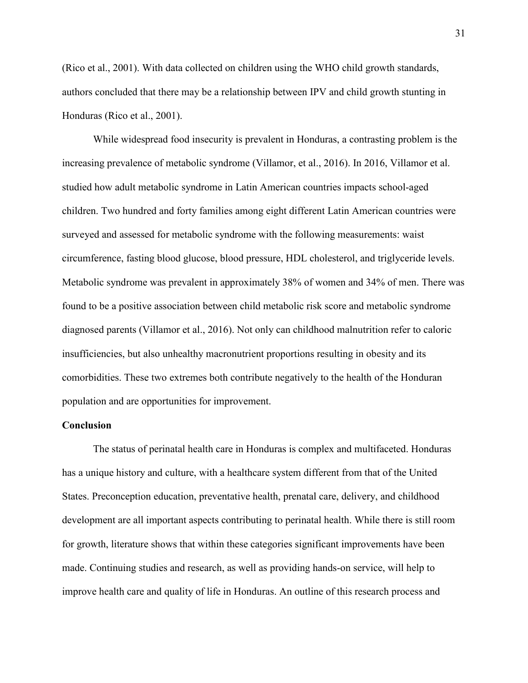(Rico et al., 2001). With data collected on children using the WHO child growth standards, authors concluded that there may be a relationship between IPV and child growth stunting in Honduras (Rico et al., 2001).

While widespread food insecurity is prevalent in Honduras, a contrasting problem is the increasing prevalence of metabolic syndrome (Villamor, et al., 2016). In 2016, Villamor et al. studied how adult metabolic syndrome in Latin American countries impacts school-aged children. Two hundred and forty families among eight different Latin American countries were surveyed and assessed for metabolic syndrome with the following measurements: waist circumference, fasting blood glucose, blood pressure, HDL cholesterol, and triglyceride levels. Metabolic syndrome was prevalent in approximately 38% of women and 34% of men. There was found to be a positive association between child metabolic risk score and metabolic syndrome diagnosed parents (Villamor et al., 2016). Not only can childhood malnutrition refer to caloric insufficiencies, but also unhealthy macronutrient proportions resulting in obesity and its comorbidities. These two extremes both contribute negatively to the health of the Honduran population and are opportunities for improvement.

#### **Conclusion**

The status of perinatal health care in Honduras is complex and multifaceted. Honduras has a unique history and culture, with a healthcare system different from that of the United States. Preconception education, preventative health, prenatal care, delivery, and childhood development are all important aspects contributing to perinatal health. While there is still room for growth, literature shows that within these categories significant improvements have been made. Continuing studies and research, as well as providing hands-on service, will help to improve health care and quality of life in Honduras. An outline of this research process and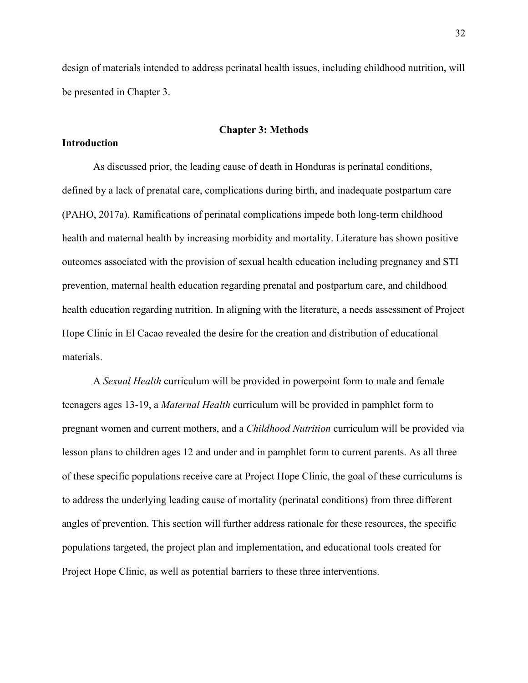design of materials intended to address perinatal health issues, including childhood nutrition, will be presented in Chapter 3.

#### **Chapter 3: Methods**

#### **Introduction**

As discussed prior, the leading cause of death in Honduras is perinatal conditions, defined by a lack of prenatal care, complications during birth, and inadequate postpartum care (PAHO, 2017a). Ramifications of perinatal complications impede both long-term childhood health and maternal health by increasing morbidity and mortality. Literature has shown positive outcomes associated with the provision of sexual health education including pregnancy and STI prevention, maternal health education regarding prenatal and postpartum care, and childhood health education regarding nutrition. In aligning with the literature, a needs assessment of Project Hope Clinic in El Cacao revealed the desire for the creation and distribution of educational materials.

A *Sexual Health* curriculum will be provided in powerpoint form to male and female teenagers ages 13-19, a *Maternal Health* curriculum will be provided in pamphlet form to pregnant women and current mothers, and a *Childhood Nutrition* curriculum will be provided via lesson plans to children ages 12 and under and in pamphlet form to current parents. As all three of these specific populations receive care at Project Hope Clinic, the goal of these curriculums is to address the underlying leading cause of mortality (perinatal conditions) from three different angles of prevention. This section will further address rationale for these resources, the specific populations targeted, the project plan and implementation, and educational tools created for Project Hope Clinic, as well as potential barriers to these three interventions.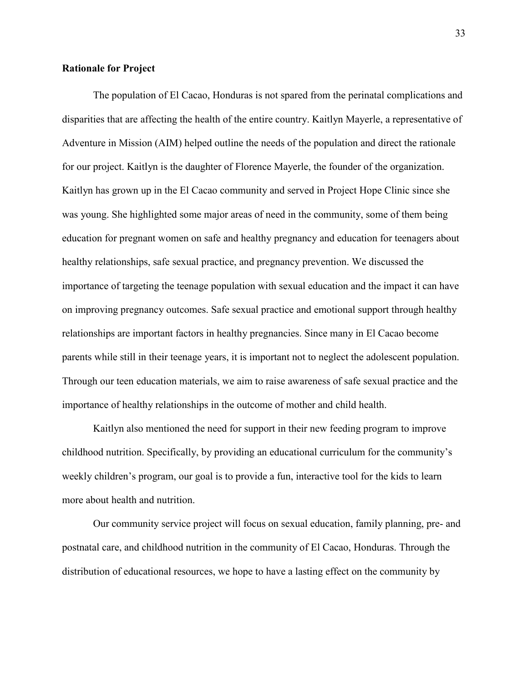# **Rationale for Project**

The population of El Cacao, Honduras is not spared from the perinatal complications and disparities that are affecting the health of the entire country. Kaitlyn Mayerle, a representative of Adventure in Mission (AIM) helped outline the needs of the population and direct the rationale for our project. Kaitlyn is the daughter of Florence Mayerle, the founder of the organization. Kaitlyn has grown up in the El Cacao community and served in Project Hope Clinic since she was young. She highlighted some major areas of need in the community, some of them being education for pregnant women on safe and healthy pregnancy and education for teenagers about healthy relationships, safe sexual practice, and pregnancy prevention. We discussed the importance of targeting the teenage population with sexual education and the impact it can have on improving pregnancy outcomes. Safe sexual practice and emotional support through healthy relationships are important factors in healthy pregnancies. Since many in El Cacao become parents while still in their teenage years, it is important not to neglect the adolescent population. Through our teen education materials, we aim to raise awareness of safe sexual practice and the importance of healthy relationships in the outcome of mother and child health.

Kaitlyn also mentioned the need for support in their new feeding program to improve childhood nutrition. Specifically, by providing an educational curriculum for the community's weekly children's program, our goal is to provide a fun, interactive tool for the kids to learn more about health and nutrition.

Our community service project will focus on sexual education, family planning, pre- and postnatal care, and childhood nutrition in the community of El Cacao, Honduras. Through the distribution of educational resources, we hope to have a lasting effect on the community by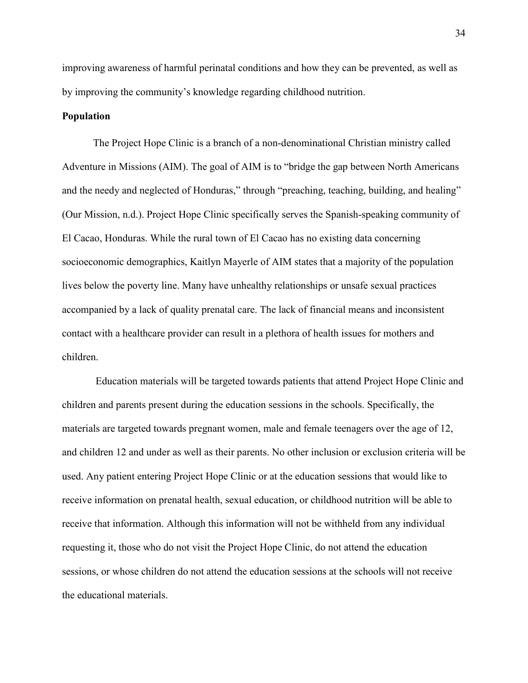improving awareness of harmful perinatal conditions and how they can be prevented, as well as by improving the community's knowledge regarding childhood nutrition.

# **Population**

The Project Hope Clinic is a branch of a non-denominational Christian ministry called Adventure in Missions (AIM). The goal of AIM is to "bridge the gap between North Americans and the needy and neglected of Honduras," through "preaching, teaching, building, and healing" (Our Mission, n.d.). Project Hope Clinic specifically serves the Spanish-speaking community of El Cacao, Honduras. While the rural town of El Cacao has no existing data concerning socioeconomic demographics, Kaitlyn Mayerle of AIM states that a majority of the population lives below the poverty line. Many have unhealthy relationships or unsafe sexual practices accompanied by a lack of quality prenatal care. The lack of financial means and inconsistent contact with a healthcare provider can result in a plethora of health issues for mothers and children.

 Education materials will be targeted towards patients that attend Project Hope Clinic and children and parents present during the education sessions in the schools. Specifically, the materials are targeted towards pregnant women, male and female teenagers over the age of 12, and children 12 and under as well as their parents. No other inclusion or exclusion criteria will be used. Any patient entering Project Hope Clinic or at the education sessions that would like to receive information on prenatal health, sexual education, or childhood nutrition will be able to receive that information. Although this information will not be withheld from any individual requesting it, those who do not visit the Project Hope Clinic, do not attend the education sessions, or whose children do not attend the education sessions at the schools will not receive the educational materials.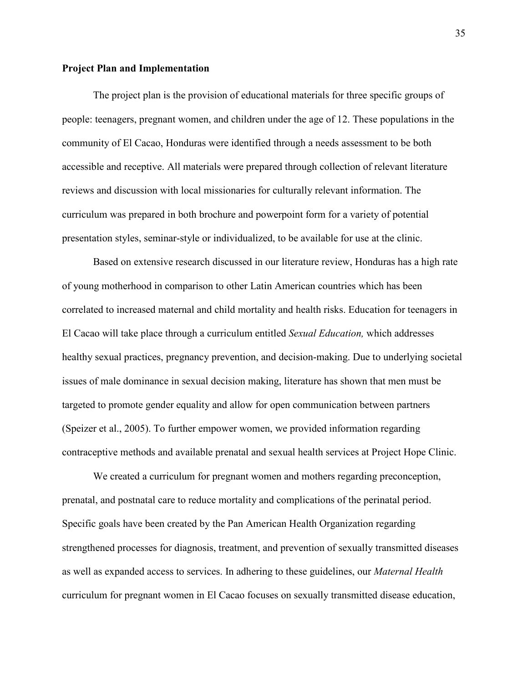## **Project Plan and Implementation**

The project plan is the provision of educational materials for three specific groups of people: teenagers, pregnant women, and children under the age of 12. These populations in the community of El Cacao, Honduras were identified through a needs assessment to be both accessible and receptive. All materials were prepared through collection of relevant literature reviews and discussion with local missionaries for culturally relevant information. The curriculum was prepared in both brochure and powerpoint form for a variety of potential presentation styles, seminar-style or individualized, to be available for use at the clinic.

Based on extensive research discussed in our literature review, Honduras has a high rate of young motherhood in comparison to other Latin American countries which has been correlated to increased maternal and child mortality and health risks. Education for teenagers in El Cacao will take place through a curriculum entitled *Sexual Education,* which addresses healthy sexual practices, pregnancy prevention, and decision-making. Due to underlying societal issues of male dominance in sexual decision making, literature has shown that men must be targeted to promote gender equality and allow for open communication between partners (Speizer et al., 2005). To further empower women, we provided information regarding contraceptive methods and available prenatal and sexual health services at Project Hope Clinic.

We created a curriculum for pregnant women and mothers regarding preconception, prenatal, and postnatal care to reduce mortality and complications of the perinatal period. Specific goals have been created by the Pan American Health Organization regarding strengthened processes for diagnosis, treatment, and prevention of sexually transmitted diseases as well as expanded access to services. In adhering to these guidelines, our *Maternal Health* curriculum for pregnant women in El Cacao focuses on sexually transmitted disease education,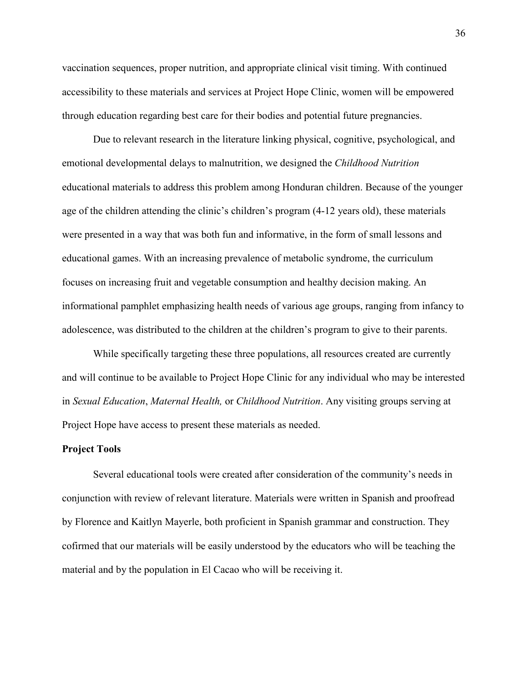vaccination sequences, proper nutrition, and appropriate clinical visit timing. With continued accessibility to these materials and services at Project Hope Clinic, women will be empowered through education regarding best care for their bodies and potential future pregnancies.

Due to relevant research in the literature linking physical, cognitive, psychological, and emotional developmental delays to malnutrition, we designed the *Childhood Nutrition* educational materials to address this problem among Honduran children. Because of the younger age of the children attending the clinic's children's program (4-12 years old), these materials were presented in a way that was both fun and informative, in the form of small lessons and educational games. With an increasing prevalence of metabolic syndrome, the curriculum focuses on increasing fruit and vegetable consumption and healthy decision making. An informational pamphlet emphasizing health needs of various age groups, ranging from infancy to adolescence, was distributed to the children at the children's program to give to their parents.

While specifically targeting these three populations, all resources created are currently and will continue to be available to Project Hope Clinic for any individual who may be interested in *Sexual Education*, *Maternal Health,* or *Childhood Nutrition*. Any visiting groups serving at Project Hope have access to present these materials as needed.

#### **Project Tools**

Several educational tools were created after consideration of the community's needs in conjunction with review of relevant literature. Materials were written in Spanish and proofread by Florence and Kaitlyn Mayerle, both proficient in Spanish grammar and construction. They cofirmed that our materials will be easily understood by the educators who will be teaching the material and by the population in El Cacao who will be receiving it.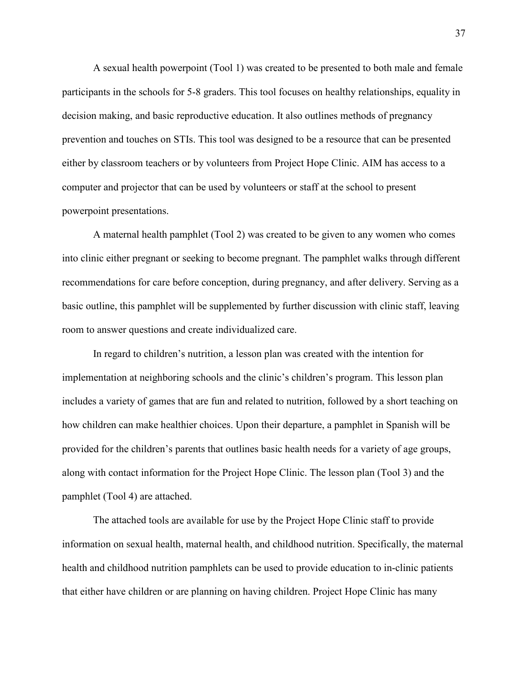A sexual health powerpoint (Tool 1) was created to be presented to both male and female participants in the schools for 5-8 graders. This tool focuses on healthy relationships, equality in decision making, and basic reproductive education. It also outlines methods of pregnancy prevention and touches on STIs. This tool was designed to be a resource that can be presented either by classroom teachers or by volunteers from Project Hope Clinic. AIM has access to a computer and projector that can be used by volunteers or staff at the school to present powerpoint presentations.

 A maternal health pamphlet (Tool 2) was created to be given to any women who comes into clinic either pregnant or seeking to become pregnant. The pamphlet walks through different recommendations for care before conception, during pregnancy, and after delivery. Serving as a basic outline, this pamphlet will be supplemented by further discussion with clinic staff, leaving room to answer questions and create individualized care.

In regard to children's nutrition, a lesson plan was created with the intention for implementation at neighboring schools and the clinic's children's program. This lesson plan includes a variety of games that are fun and related to nutrition, followed by a short teaching on how children can make healthier choices. Upon their departure, a pamphlet in Spanish will be provided for the children's parents that outlines basic health needs for a variety of age groups, along with contact information for the Project Hope Clinic. The lesson plan (Tool 3) and the pamphlet (Tool 4) are attached.

The attached tools are available for use by the Project Hope Clinic staff to provide information on sexual health, maternal health, and childhood nutrition. Specifically, the maternal health and childhood nutrition pamphlets can be used to provide education to in-clinic patients that either have children or are planning on having children. Project Hope Clinic has many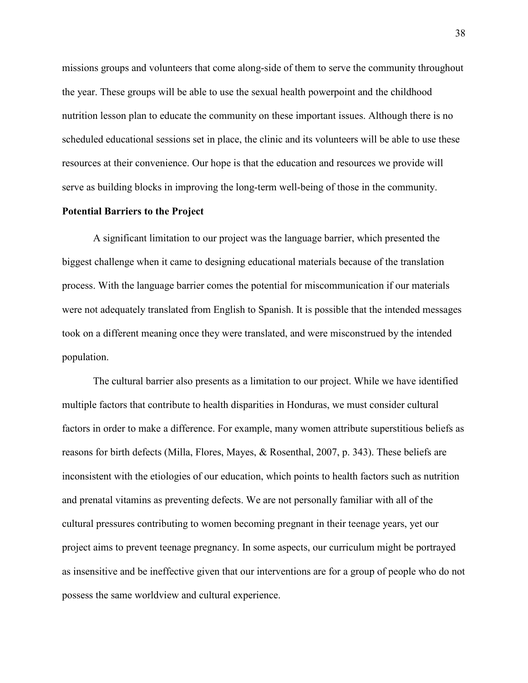missions groups and volunteers that come along-side of them to serve the community throughout the year. These groups will be able to use the sexual health powerpoint and the childhood nutrition lesson plan to educate the community on these important issues. Although there is no scheduled educational sessions set in place, the clinic and its volunteers will be able to use these resources at their convenience. Our hope is that the education and resources we provide will serve as building blocks in improving the long-term well-being of those in the community.

#### **Potential Barriers to the Project**

A significant limitation to our project was the language barrier, which presented the biggest challenge when it came to designing educational materials because of the translation process. With the language barrier comes the potential for miscommunication if our materials were not adequately translated from English to Spanish. It is possible that the intended messages took on a different meaning once they were translated, and were misconstrued by the intended population.

The cultural barrier also presents as a limitation to our project. While we have identified multiple factors that contribute to health disparities in Honduras, we must consider cultural factors in order to make a difference. For example, many women attribute superstitious beliefs as reasons for birth defects (Milla, Flores, Mayes, & Rosenthal, 2007, p. 343). These beliefs are inconsistent with the etiologies of our education, which points to health factors such as nutrition and prenatal vitamins as preventing defects. We are not personally familiar with all of the cultural pressures contributing to women becoming pregnant in their teenage years, yet our project aims to prevent teenage pregnancy. In some aspects, our curriculum might be portrayed as insensitive and be ineffective given that our interventions are for a group of people who do not possess the same worldview and cultural experience.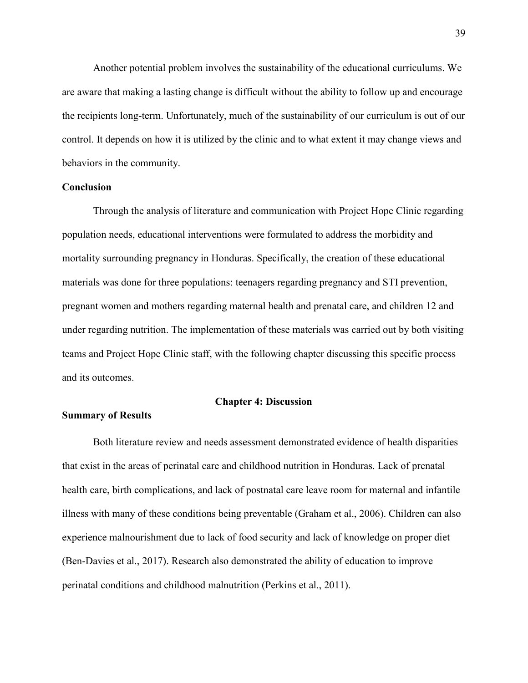Another potential problem involves the sustainability of the educational curriculums. We are aware that making a lasting change is difficult without the ability to follow up and encourage the recipients long-term. Unfortunately, much of the sustainability of our curriculum is out of our control. It depends on how it is utilized by the clinic and to what extent it may change views and behaviors in the community.

#### **Conclusion**

Through the analysis of literature and communication with Project Hope Clinic regarding population needs, educational interventions were formulated to address the morbidity and mortality surrounding pregnancy in Honduras. Specifically, the creation of these educational materials was done for three populations: teenagers regarding pregnancy and STI prevention, pregnant women and mothers regarding maternal health and prenatal care, and children 12 and under regarding nutrition. The implementation of these materials was carried out by both visiting teams and Project Hope Clinic staff, with the following chapter discussing this specific process and its outcomes.

#### **Chapter 4: Discussion**

# **Summary of Results**

Both literature review and needs assessment demonstrated evidence of health disparities that exist in the areas of perinatal care and childhood nutrition in Honduras. Lack of prenatal health care, birth complications, and lack of postnatal care leave room for maternal and infantile illness with many of these conditions being preventable (Graham et al., 2006). Children can also experience malnourishment due to lack of food security and lack of knowledge on proper diet (Ben-Davies et al., 2017). Research also demonstrated the ability of education to improve perinatal conditions and childhood malnutrition (Perkins et al., 2011).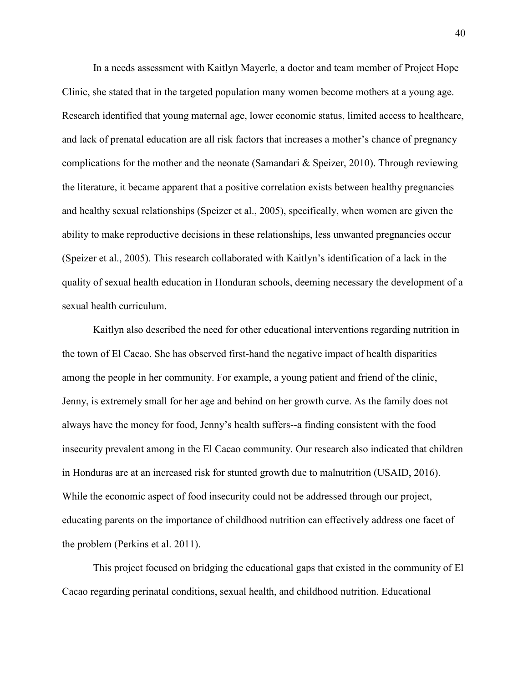In a needs assessment with Kaitlyn Mayerle, a doctor and team member of Project Hope Clinic, she stated that in the targeted population many women become mothers at a young age. Research identified that young maternal age, lower economic status, limited access to healthcare, and lack of prenatal education are all risk factors that increases a mother's chance of pregnancy complications for the mother and the neonate (Samandari  $\&$  Speizer, 2010). Through reviewing the literature, it became apparent that a positive correlation exists between healthy pregnancies and healthy sexual relationships (Speizer et al., 2005), specifically, when women are given the ability to make reproductive decisions in these relationships, less unwanted pregnancies occur (Speizer et al., 2005). This research collaborated with Kaitlyn's identification of a lack in the quality of sexual health education in Honduran schools, deeming necessary the development of a sexual health curriculum.

Kaitlyn also described the need for other educational interventions regarding nutrition in the town of El Cacao. She has observed first-hand the negative impact of health disparities among the people in her community. For example, a young patient and friend of the clinic, Jenny, is extremely small for her age and behind on her growth curve. As the family does not always have the money for food, Jenny's health suffers--a finding consistent with the food insecurity prevalent among in the El Cacao community. Our research also indicated that children in Honduras are at an increased risk for stunted growth due to malnutrition (USAID, 2016). While the economic aspect of food insecurity could not be addressed through our project, educating parents on the importance of childhood nutrition can effectively address one facet of the problem (Perkins et al. 2011).

This project focused on bridging the educational gaps that existed in the community of El Cacao regarding perinatal conditions, sexual health, and childhood nutrition. Educational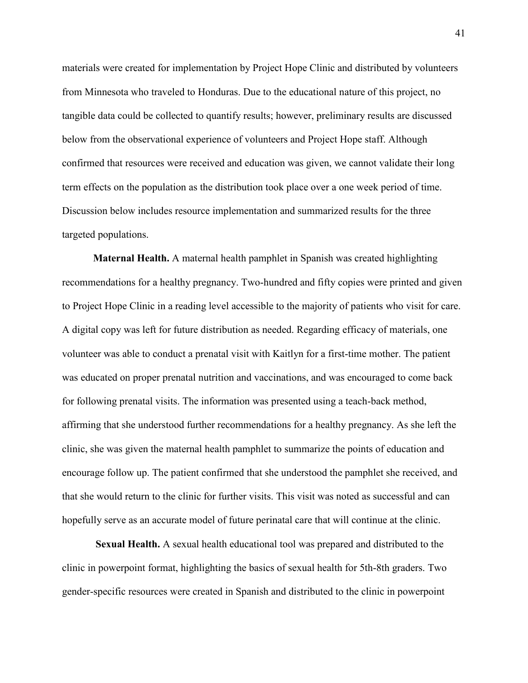materials were created for implementation by Project Hope Clinic and distributed by volunteers from Minnesota who traveled to Honduras. Due to the educational nature of this project, no tangible data could be collected to quantify results; however, preliminary results are discussed below from the observational experience of volunteers and Project Hope staff. Although confirmed that resources were received and education was given, we cannot validate their long term effects on the population as the distribution took place over a one week period of time. Discussion below includes resource implementation and summarized results for the three targeted populations.

**Maternal Health.** A maternal health pamphlet in Spanish was created highlighting recommendations for a healthy pregnancy. Two-hundred and fifty copies were printed and given to Project Hope Clinic in a reading level accessible to the majority of patients who visit for care. A digital copy was left for future distribution as needed. Regarding efficacy of materials, one volunteer was able to conduct a prenatal visit with Kaitlyn for a first-time mother. The patient was educated on proper prenatal nutrition and vaccinations, and was encouraged to come back for following prenatal visits. The information was presented using a teach-back method, affirming that she understood further recommendations for a healthy pregnancy. As she left the clinic, she was given the maternal health pamphlet to summarize the points of education and encourage follow up. The patient confirmed that she understood the pamphlet she received, and that she would return to the clinic for further visits. This visit was noted as successful and can hopefully serve as an accurate model of future perinatal care that will continue at the clinic.

**Sexual Health.** A sexual health educational tool was prepared and distributed to the clinic in powerpoint format, highlighting the basics of sexual health for 5th-8th graders. Two gender-specific resources were created in Spanish and distributed to the clinic in powerpoint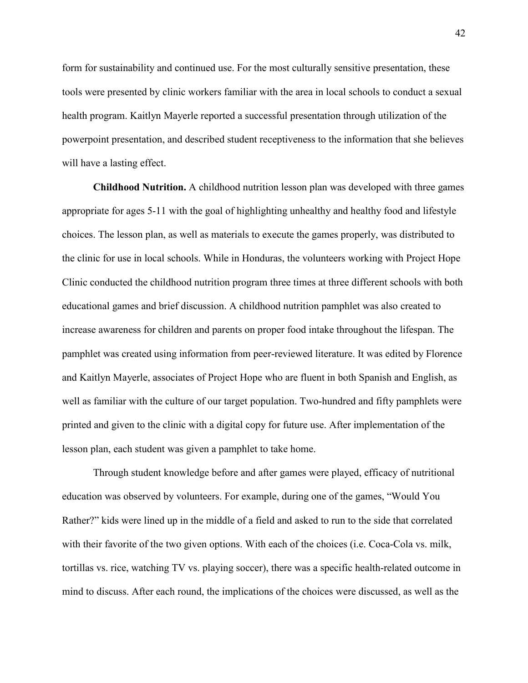form for sustainability and continued use. For the most culturally sensitive presentation, these tools were presented by clinic workers familiar with the area in local schools to conduct a sexual health program. Kaitlyn Mayerle reported a successful presentation through utilization of the powerpoint presentation, and described student receptiveness to the information that she believes will have a lasting effect.

**Childhood Nutrition.** A childhood nutrition lesson plan was developed with three games appropriate for ages 5-11 with the goal of highlighting unhealthy and healthy food and lifestyle choices. The lesson plan, as well as materials to execute the games properly, was distributed to the clinic for use in local schools. While in Honduras, the volunteers working with Project Hope Clinic conducted the childhood nutrition program three times at three different schools with both educational games and brief discussion. A childhood nutrition pamphlet was also created to increase awareness for children and parents on proper food intake throughout the lifespan. The pamphlet was created using information from peer-reviewed literature. It was edited by Florence and Kaitlyn Mayerle, associates of Project Hope who are fluent in both Spanish and English, as well as familiar with the culture of our target population. Two-hundred and fifty pamphlets were printed and given to the clinic with a digital copy for future use. After implementation of the lesson plan, each student was given a pamphlet to take home.

 Through student knowledge before and after games were played, efficacy of nutritional education was observed by volunteers. For example, during one of the games, "Would You Rather?" kids were lined up in the middle of a field and asked to run to the side that correlated with their favorite of the two given options. With each of the choices (i.e. Coca-Cola vs. milk, tortillas vs. rice, watching TV vs. playing soccer), there was a specific health-related outcome in mind to discuss. After each round, the implications of the choices were discussed, as well as the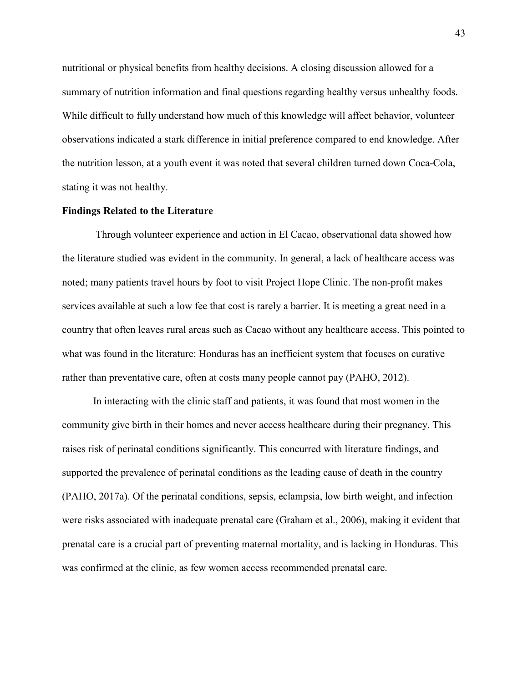nutritional or physical benefits from healthy decisions. A closing discussion allowed for a summary of nutrition information and final questions regarding healthy versus unhealthy foods. While difficult to fully understand how much of this knowledge will affect behavior, volunteer observations indicated a stark difference in initial preference compared to end knowledge. After the nutrition lesson, at a youth event it was noted that several children turned down Coca-Cola, stating it was not healthy.

# **Findings Related to the Literature**

Through volunteer experience and action in El Cacao, observational data showed how the literature studied was evident in the community. In general, a lack of healthcare access was noted; many patients travel hours by foot to visit Project Hope Clinic. The non-profit makes services available at such a low fee that cost is rarely a barrier. It is meeting a great need in a country that often leaves rural areas such as Cacao without any healthcare access. This pointed to what was found in the literature: Honduras has an inefficient system that focuses on curative rather than preventative care, often at costs many people cannot pay (PAHO, 2012).

In interacting with the clinic staff and patients, it was found that most women in the community give birth in their homes and never access healthcare during their pregnancy. This raises risk of perinatal conditions significantly. This concurred with literature findings, and supported the prevalence of perinatal conditions as the leading cause of death in the country (PAHO, 2017a). Of the perinatal conditions, sepsis, eclampsia, low birth weight, and infection were risks associated with inadequate prenatal care (Graham et al., 2006), making it evident that prenatal care is a crucial part of preventing maternal mortality, and is lacking in Honduras. This was confirmed at the clinic, as few women access recommended prenatal care.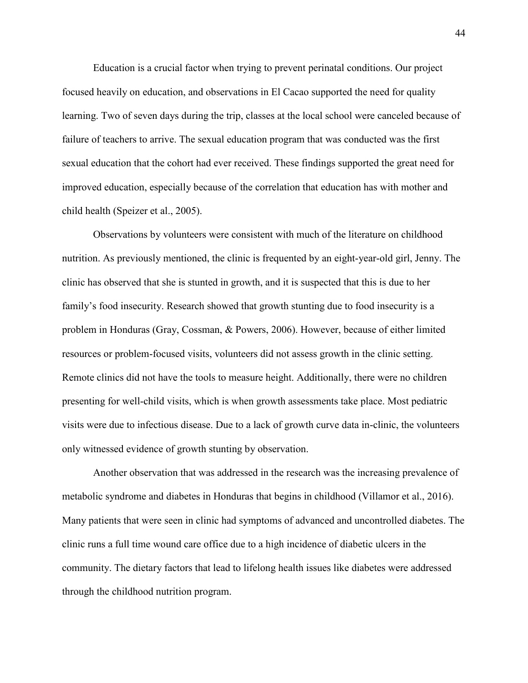Education is a crucial factor when trying to prevent perinatal conditions. Our project focused heavily on education, and observations in El Cacao supported the need for quality learning. Two of seven days during the trip, classes at the local school were canceled because of failure of teachers to arrive. The sexual education program that was conducted was the first sexual education that the cohort had ever received. These findings supported the great need for improved education, especially because of the correlation that education has with mother and child health (Speizer et al., 2005).

 Observations by volunteers were consistent with much of the literature on childhood nutrition. As previously mentioned, the clinic is frequented by an eight-year-old girl, Jenny. The clinic has observed that she is stunted in growth, and it is suspected that this is due to her family's food insecurity. Research showed that growth stunting due to food insecurity is a problem in Honduras (Gray, Cossman, & Powers, 2006). However, because of either limited resources or problem-focused visits, volunteers did not assess growth in the clinic setting. Remote clinics did not have the tools to measure height. Additionally, there were no children presenting for well-child visits, which is when growth assessments take place. Most pediatric visits were due to infectious disease. Due to a lack of growth curve data in-clinic, the volunteers only witnessed evidence of growth stunting by observation.

 Another observation that was addressed in the research was the increasing prevalence of metabolic syndrome and diabetes in Honduras that begins in childhood (Villamor et al., 2016). Many patients that were seen in clinic had symptoms of advanced and uncontrolled diabetes. The clinic runs a full time wound care office due to a high incidence of diabetic ulcers in the community. The dietary factors that lead to lifelong health issues like diabetes were addressed through the childhood nutrition program.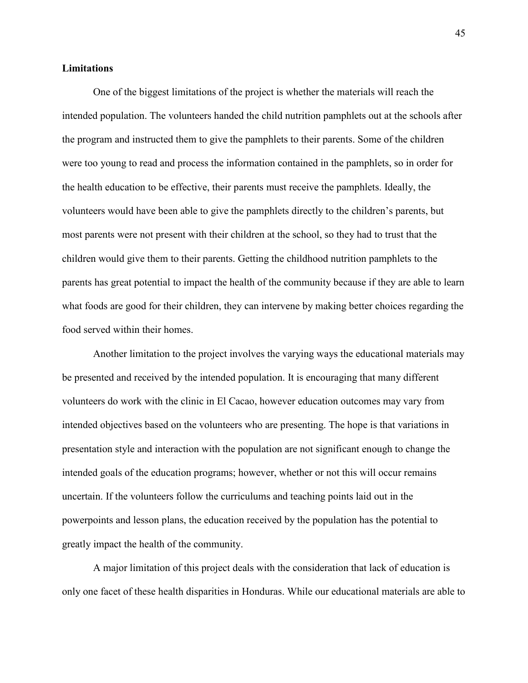## **Limitations**

One of the biggest limitations of the project is whether the materials will reach the intended population. The volunteers handed the child nutrition pamphlets out at the schools after the program and instructed them to give the pamphlets to their parents. Some of the children were too young to read and process the information contained in the pamphlets, so in order for the health education to be effective, their parents must receive the pamphlets. Ideally, the volunteers would have been able to give the pamphlets directly to the children's parents, but most parents were not present with their children at the school, so they had to trust that the children would give them to their parents. Getting the childhood nutrition pamphlets to the parents has great potential to impact the health of the community because if they are able to learn what foods are good for their children, they can intervene by making better choices regarding the food served within their homes.

 Another limitation to the project involves the varying ways the educational materials may be presented and received by the intended population. It is encouraging that many different volunteers do work with the clinic in El Cacao, however education outcomes may vary from intended objectives based on the volunteers who are presenting. The hope is that variations in presentation style and interaction with the population are not significant enough to change the intended goals of the education programs; however, whether or not this will occur remains uncertain. If the volunteers follow the curriculums and teaching points laid out in the powerpoints and lesson plans, the education received by the population has the potential to greatly impact the health of the community.

 A major limitation of this project deals with the consideration that lack of education is only one facet of these health disparities in Honduras. While our educational materials are able to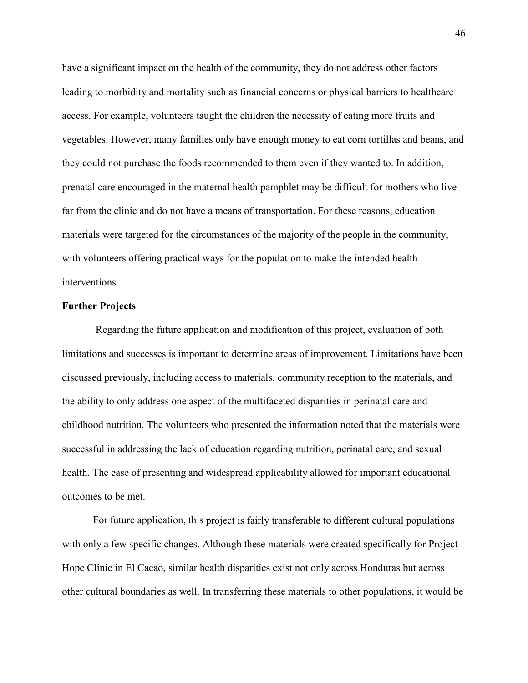have a significant impact on the health of the community, they do not address other factors leading to morbidity and mortality such as financial concerns or physical barriers to healthcare access. For example, volunteers taught the children the necessity of eating more fruits and vegetables. However, many families only have enough money to eat corn tortillas and beans, and they could not purchase the foods recommended to them even if they wanted to. In addition, prenatal care encouraged in the maternal health pamphlet may be difficult for mothers who live far from the clinic and do not have a means of transportation. For these reasons, education materials were targeted for the circumstances of the majority of the people in the community, with volunteers offering practical ways for the population to make the intended health interventions.

#### **Further Projects**

Regarding the future application and modification of this project, evaluation of both limitations and successes is important to determine areas of improvement. Limitations have been discussed previously, including access to materials, community reception to the materials, and the ability to only address one aspect of the multifaceted disparities in perinatal care and childhood nutrition. The volunteers who presented the information noted that the materials were successful in addressing the lack of education regarding nutrition, perinatal care, and sexual health. The ease of presenting and widespread applicability allowed for important educational outcomes to be met.

For future application, this project is fairly transferable to different cultural populations with only a few specific changes. Although these materials were created specifically for Project Hope Clinic in El Cacao, similar health disparities exist not only across Honduras but across other cultural boundaries as well. In transferring these materials to other populations, it would be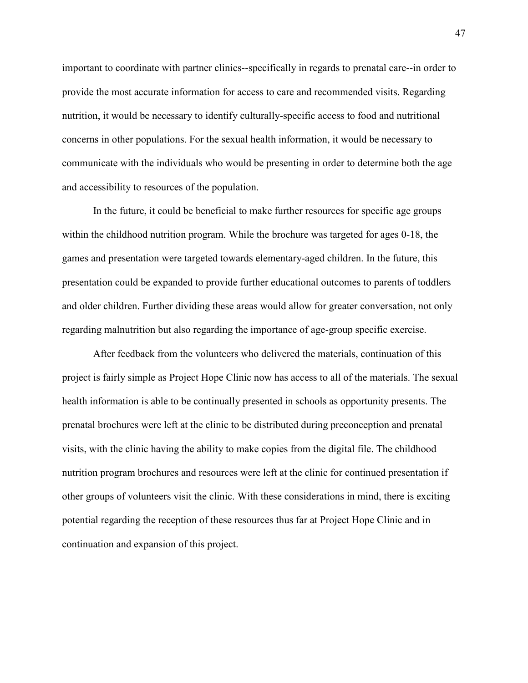important to coordinate with partner clinics--specifically in regards to prenatal care--in order to provide the most accurate information for access to care and recommended visits. Regarding nutrition, it would be necessary to identify culturally-specific access to food and nutritional concerns in other populations. For the sexual health information, it would be necessary to communicate with the individuals who would be presenting in order to determine both the age and accessibility to resources of the population.

In the future, it could be beneficial to make further resources for specific age groups within the childhood nutrition program. While the brochure was targeted for ages 0-18, the games and presentation were targeted towards elementary-aged children. In the future, this presentation could be expanded to provide further educational outcomes to parents of toddlers and older children. Further dividing these areas would allow for greater conversation, not only regarding malnutrition but also regarding the importance of age-group specific exercise.

After feedback from the volunteers who delivered the materials, continuation of this project is fairly simple as Project Hope Clinic now has access to all of the materials. The sexual health information is able to be continually presented in schools as opportunity presents. The prenatal brochures were left at the clinic to be distributed during preconception and prenatal visits, with the clinic having the ability to make copies from the digital file. The childhood nutrition program brochures and resources were left at the clinic for continued presentation if other groups of volunteers visit the clinic. With these considerations in mind, there is exciting potential regarding the reception of these resources thus far at Project Hope Clinic and in continuation and expansion of this project.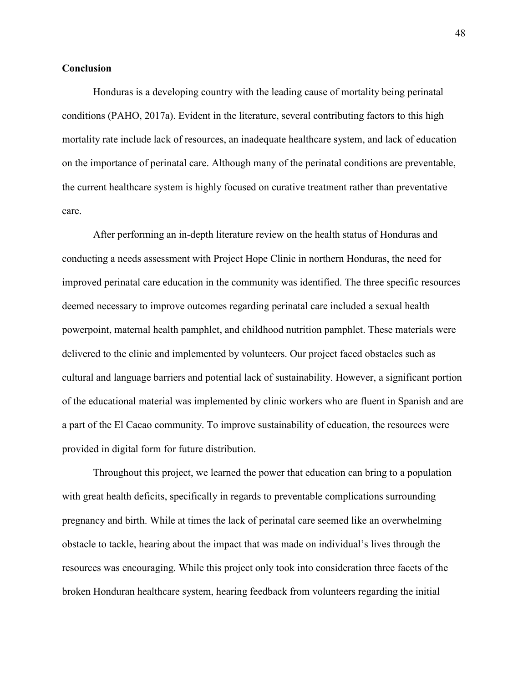#### **Conclusion**

 Honduras is a developing country with the leading cause of mortality being perinatal conditions (PAHO, 2017a). Evident in the literature, several contributing factors to this high mortality rate include lack of resources, an inadequate healthcare system, and lack of education on the importance of perinatal care. Although many of the perinatal conditions are preventable, the current healthcare system is highly focused on curative treatment rather than preventative care.

After performing an in-depth literature review on the health status of Honduras and conducting a needs assessment with Project Hope Clinic in northern Honduras, the need for improved perinatal care education in the community was identified. The three specific resources deemed necessary to improve outcomes regarding perinatal care included a sexual health powerpoint, maternal health pamphlet, and childhood nutrition pamphlet. These materials were delivered to the clinic and implemented by volunteers. Our project faced obstacles such as cultural and language barriers and potential lack of sustainability. However, a significant portion of the educational material was implemented by clinic workers who are fluent in Spanish and are a part of the El Cacao community. To improve sustainability of education, the resources were provided in digital form for future distribution.

 Throughout this project, we learned the power that education can bring to a population with great health deficits, specifically in regards to preventable complications surrounding pregnancy and birth. While at times the lack of perinatal care seemed like an overwhelming obstacle to tackle, hearing about the impact that was made on individual's lives through the resources was encouraging. While this project only took into consideration three facets of the broken Honduran healthcare system, hearing feedback from volunteers regarding the initial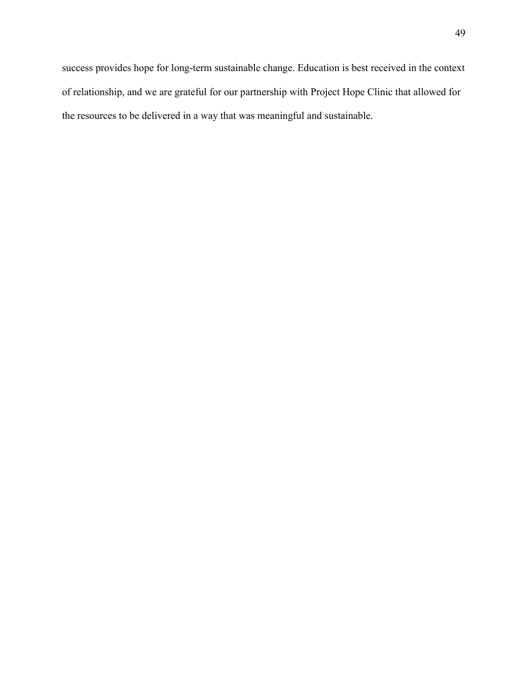success provides hope for long-term sustainable change. Education is best received in the context of relationship, and we are grateful for our partnership with Project Hope Clinic that allowed for the resources to be delivered in a way that was meaningful and sustainable.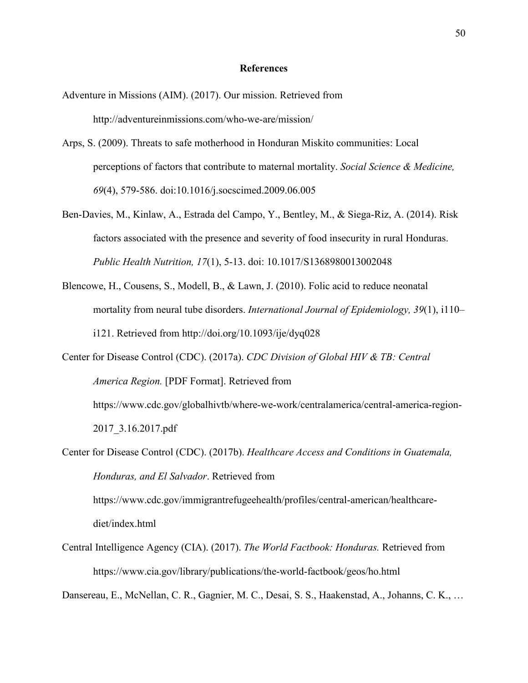#### **References**

- Adventure in Missions (AIM). (2017). Our mission. Retrieved from http://adventureinmissions.com/who-we-are/mission/
- Arps, S. (2009). Threats to safe motherhood in Honduran Miskito communities: Local perceptions of factors that contribute to maternal mortality. *Social Science & Medicine, 69*(4), 579-586. doi:10.1016/j.socscimed.2009.06.005
- Ben-Davies, M., Kinlaw, A., Estrada del Campo, Y., Bentley, M., & Siega-Riz, A. (2014). Risk factors associated with the presence and severity of food insecurity in rural Honduras. *Public Health Nutrition, 17*(1), 5-13. doi: 10.1017/S1368980013002048
- Blencowe, H., Cousens, S., Modell, B., & Lawn, J. (2010). Folic acid to reduce neonatal mortality from neural tube disorders. *International Journal of Epidemiology, 39*(1), i110– i121. Retrieved from http://doi.org/10.1093/ije/dyq028
- Center for Disease Control (CDC). (2017a). *CDC Division of Global HIV & TB: Central America Region.* [PDF Format]. Retrieved from https://www.cdc.gov/globalhivtb/where-we-work/centralamerica/central-america-region-2017\_3.16.2017.pdf
- Center for Disease Control (CDC). (2017b). *Healthcare Access and Conditions in Guatemala, Honduras, and El Salvador*. Retrieved from https://www.cdc.gov/immigrantrefugeehealth/profiles/central-american/healthcare-

diet/index.html

Central Intelligence Agency (CIA). (2017). *The World Factbook: Honduras.* Retrieved from https://www.cia.gov/library/publications/the-world-factbook/geos/ho.html

Dansereau, E., McNellan, C. R., Gagnier, M. C., Desai, S. S., Haakenstad, A., Johanns, C. K., …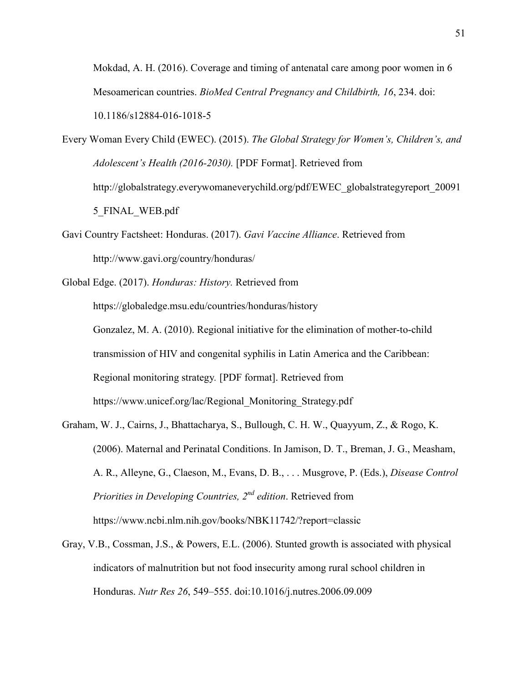Mokdad, A. H. (2016). Coverage and timing of antenatal care among poor women in 6 Mesoamerican countries. *BioMed Central Pregnancy and Childbirth, 16*, 234. doi: 10.1186/s12884-016-1018-5

Every Woman Every Child (EWEC). (2015). *The Global Strategy for Women's, Children's, and Adolescent's Health (2016-2030).* [PDF Format]. Retrieved from http://globalstrategy.everywomaneverychild.org/pdf/EWEC\_globalstrategyreport\_20091 5\_FINAL\_WEB.pdf

Gavi Country Factsheet: Honduras. (2017). *Gavi Vaccine Alliance*. Retrieved from http://www.gavi.org/country/honduras/

Global Edge. (2017). *Honduras: History.* Retrieved from

 https://globaledge.msu.edu/countries/honduras/history Gonzalez, M. A. (2010). Regional initiative for the elimination of mother-to-child transmission of HIV and congenital syphilis in Latin America and the Caribbean: Regional monitoring strategy*.* [PDF format]. Retrieved from https://www.unicef.org/lac/Regional\_Monitoring\_Strategy.pdf

- Graham, W. J., Cairns, J., Bhattacharya, S., Bullough, C. H. W., Quayyum, Z., & Rogo, K. (2006). Maternal and Perinatal Conditions. In Jamison, D. T., Breman, J. G., Measham, A. R., Alleyne, G., Claeson, M., Evans, D. B., . . . Musgrove, P. (Eds.), *Disease Control Priorities in Developing Countries, 2nd edition*. Retrieved from https://www.ncbi.nlm.nih.gov/books/NBK11742/?report=classic
- Gray, V.B., Cossman, J.S., & Powers, E.L. (2006). Stunted growth is associated with physical indicators of malnutrition but not food insecurity among rural school children in Honduras. *Nutr Res 26*, 549–555. doi:10.1016/j.nutres.2006.09.009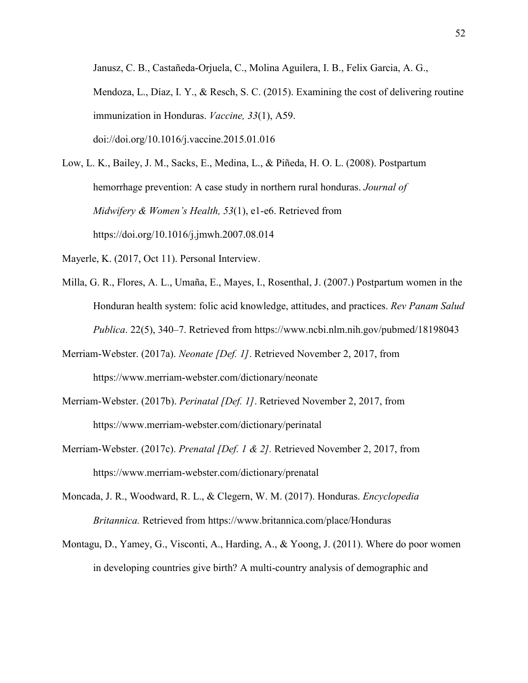Janusz, C. B., Castañeda-Orjuela, C., Molina Aguilera, I. B., Felix Garcia, A. G., Mendoza, L., Díaz, I. Y., & Resch, S. C. (2015). Examining the cost of delivering routine immunization in Honduras. *Vaccine, 33*(1), A59. doi://doi.org/10.1016/j.vaccine.2015.01.016

- Low, L. K., Bailey, J. M., Sacks, E., Medina, L., & Piñeda, H. O. L. (2008). Postpartum hemorrhage prevention: A case study in northern rural honduras. *Journal of Midwifery & Women's Health, 53*(1), e1-e6. Retrieved from https://doi.org/10.1016/j.jmwh.2007.08.014
- Mayerle, K. (2017, Oct 11). Personal Interview.
- Milla, G. R., Flores, A. L., Umaña, E., Mayes, I., Rosenthal, J. (2007.) Postpartum women in the Honduran health system: folic acid knowledge, attitudes, and practices. *Rev Panam Salud Publica*. 22(5), 340–7. Retrieved from https://www.ncbi.nlm.nih.gov/pubmed/18198043
- Merriam-Webster. (2017a). *Neonate [Def. 1]*. Retrieved November 2, 2017, from https://www.merriam-webster.com/dictionary/neonate
- Merriam-Webster. (2017b). *Perinatal [Def. 1]*. Retrieved November 2, 2017, from https://www.merriam-webster.com/dictionary/perinatal
- Merriam-Webster. (2017c). *Prenatal [Def. 1 & 2].* Retrieved November 2, 2017, from https://www.merriam-webster.com/dictionary/prenatal
- Moncada, J. R., Woodward, R. L., & Clegern, W. M. (2017). Honduras. *Encyclopedia Britannica.* Retrieved from https://www.britannica.com/place/Honduras
- Montagu, D., Yamey, G., Visconti, A., Harding, A., & Yoong, J. (2011). Where do poor women in developing countries give birth? A multi-country analysis of demographic and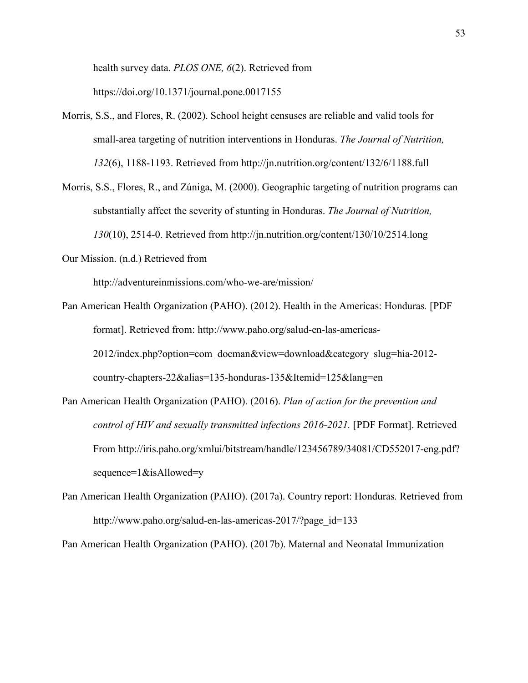health survey data. *PLOS ONE, 6*(2). Retrieved from https://doi.org/10.1371/journal.pone.0017155

- Morris, S.S., and Flores, R. (2002). School height censuses are reliable and valid tools for small-area targeting of nutrition interventions in Honduras. *The Journal of Nutrition, 132*(6), 1188-1193. Retrieved from http://jn.nutrition.org/content/132/6/1188.full
- Morris, S.S., Flores, R., and Zúniga, M. (2000). Geographic targeting of nutrition programs can substantially affect the severity of stunting in Honduras. *The Journal of Nutrition, 130*(10), 2514-0. Retrieved from http://jn.nutrition.org/content/130/10/2514.long
- Our Mission. (n.d.) Retrieved from

http://adventureinmissions.com/who-we-are/mission/

- Pan American Health Organization (PAHO). (2012). Health in the Americas: Honduras*.* [PDF format]. Retrieved from: http://www.paho.org/salud-en-las-americas-2012/index.php?option=com\_docman&view=download&category\_slug=hia-2012 country-chapters-22&alias=135-honduras-135&Itemid=125&lang=en
- Pan American Health Organization (PAHO). (2016). *Plan of action for the prevention and control of HIV and sexually transmitted infections 2016-2021.* [PDF Format]. Retrieved From http://iris.paho.org/xmlui/bitstream/handle/123456789/34081/CD552017-eng.pdf? sequence=1&isAllowed=y
- Pan American Health Organization (PAHO). (2017a). Country report: Honduras*.* Retrieved from http://www.paho.org/salud-en-las-americas-2017/?page\_id=133

Pan American Health Organization (PAHO). (2017b). Maternal and Neonatal Immunization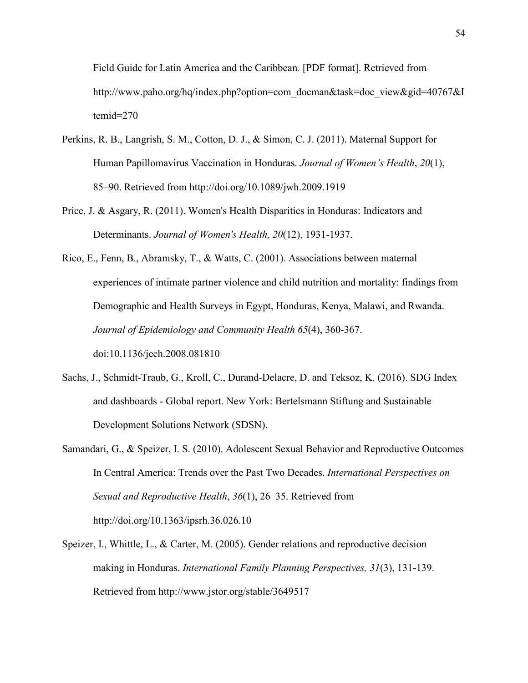Field Guide for Latin America and the Caribbean*.* [PDF format]. Retrieved from http://www.paho.org/hq/index.php?option=com\_docman&task=doc\_view&gid=40767&I temid=270

- Perkins, R. B., Langrish, S. M., Cotton, D. J., & Simon, C. J. (2011). Maternal Support for Human Papillomavirus Vaccination in Honduras. *Journal of Women's Health*, *20*(1), 85–90. Retrieved from http://doi.org/10.1089/jwh.2009.1919
- Price, J. & Asgary, R. (2011). Women's Health Disparities in Honduras: Indicators and Determinants. *Journal of Women's Health, 20*(12), 1931-1937.
- Rico, E., Fenn, B., Abramsky, T., & Watts, C. (2001). Associations between maternal experiences of intimate partner violence and child nutrition and mortality: findings from Demographic and Health Surveys in Egypt, Honduras, Kenya, Malawi, and Rwanda. *Journal of Epidemiology and Community Health 65*(4), 360-367. doi:10.1136/jech.2008.081810
- Sachs, J., Schmidt-Traub, G., Kroll, C., Durand-Delacre, D. and Teksoz, K. (2016). SDG Index and dashboards - Global report. New York: Bertelsmann Stiftung and Sustainable Development Solutions Network (SDSN).
- Samandari, G., & Speizer, I. S. (2010). Adolescent Sexual Behavior and Reproductive Outcomes In Central America: Trends over the Past Two Decades. *International Perspectives on Sexual and Reproductive Health*, *36*(1), 26–35. Retrieved from http://doi.org/10.1363/ipsrh.36.026.10
- Speizer, I., Whittle, L., & Carter, M. (2005). Gender relations and reproductive decision making in Honduras. *International Family Planning Perspectives, 31*(3), 131-139. Retrieved from http://www.jstor.org/stable/3649517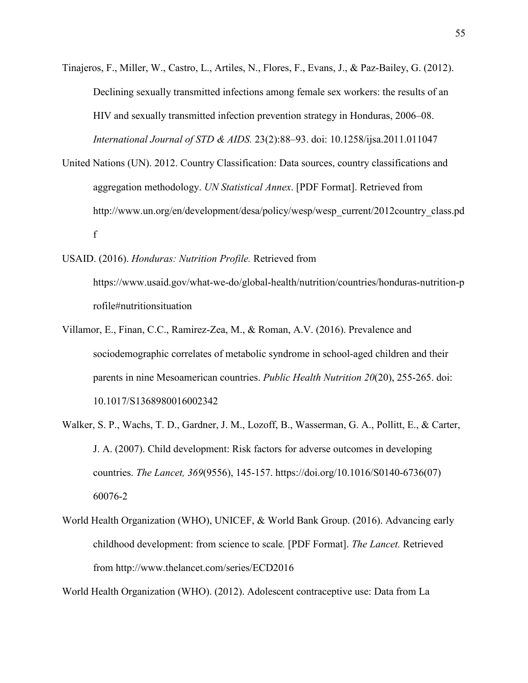Tinajeros, F., Miller, W., Castro, L., Artiles, N., Flores, F., Evans, J., & Paz-Bailey, G. (2012). Declining sexually transmitted infections among female sex workers: the results of an HIV and sexually transmitted infection prevention strategy in Honduras, 2006–08. *International Journal of STD & AIDS.* 23(2):88–93. doi: 10.1258/ijsa.2011.011047

United Nations (UN). 2012. Country Classification: Data sources, country classifications and aggregation methodology. *UN Statistical Annex*. [PDF Format]. Retrieved from http://www.un.org/en/development/desa/policy/wesp/wesp\_current/2012country\_class.pd f

# USAID. (2016). *Honduras: Nutrition Profile.* Retrieved from

https://www.usaid.gov/what-we-do/global-health/nutrition/countries/honduras-nutrition-p rofile#nutritionsituation

- Villamor, E., Finan, C.C., Ramirez-Zea, M., & Roman, A.V. (2016). Prevalence and sociodemographic correlates of metabolic syndrome in school-aged children and their parents in nine Mesoamerican countries. *Public Health Nutrition 20*(20), 255-265. doi: 10.1017/S1368980016002342
- Walker, S. P., Wachs, T. D., Gardner, J. M., Lozoff, B., Wasserman, G. A., Pollitt, E., & Carter, J. A. (2007). Child development: Risk factors for adverse outcomes in developing countries. *The Lancet, 369*(9556), 145-157. https://doi.org/10.1016/S0140-6736(07) 60076-2
- World Health Organization (WHO), UNICEF, & World Bank Group. (2016). Advancing early childhood development: from science to scale*.* [PDF Format]. *The Lancet.* Retrieved from http://www.thelancet.com/series/ECD2016

World Health Organization (WHO). (2012). Adolescent contraceptive use: Data from La